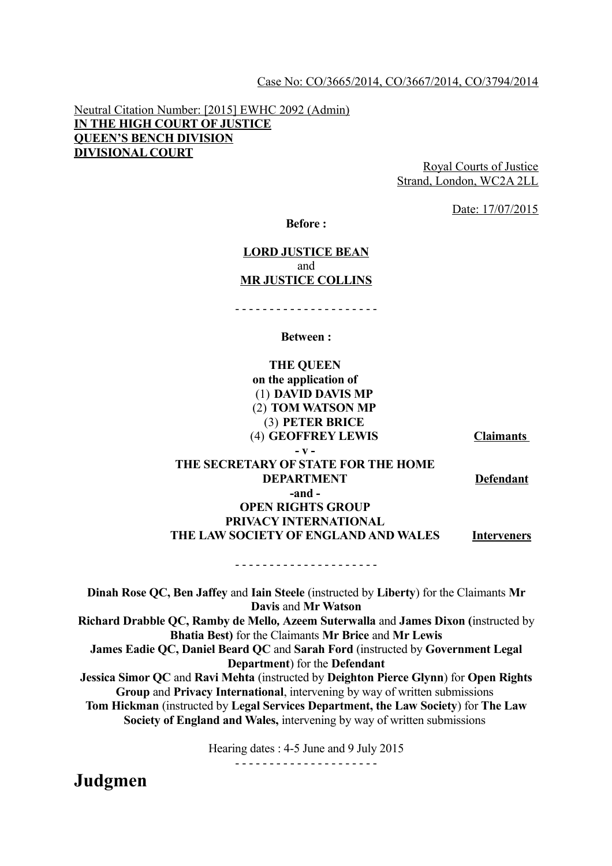#### Case No: CO/3665/2014, CO/3667/2014, CO/3794/2014

Neutral Citation Number: [2015] EWHC 2092 (Admin) **IN THE HIGH COURT OF JUSTICE QUEEN'S BENCH DIVISION DIVISIONAL COURT** 

Royal Courts of Justice Strand, London, WC2A 2LL

Date: 17/07/2015

**Before :**

#### **LORD JUSTICE BEAN**  and **MR JUSTICE COLLINS**

- - - - - - - - - - - - - - - - - - - - -

#### **Between :**

**THE QUEEN on the application of** (1) **DAVID DAVIS MP** (2) **TOM WATSON MP** (3) **PETER BRICE** (4) **GEOFFREY LEWIS Claimants** 

**- v -**

### **THE SECRETARY OF STATE FOR THE HOME DEPARTMENT Defendant -and - OPEN RIGHTS GROUP PRIVACY INTERNATIONAL**

## **THE LAW SOCIETY OF ENGLAND AND WALES Interveners**

**Dinah Rose QC, Ben Jaffey** and **Iain Steele** (instructed by **Liberty**) for the Claimants **Mr Davis** and **Mr Watson Richard Drabble QC, Ramby de Mello***,* **Azeem Suterwalla** and **James Dixon (**instructed by **Bhatia Best)** for the Claimants **Mr Brice** and **Mr Lewis James Eadie QC, Daniel Beard QC** and **Sarah Ford** (instructed by **Government Legal Department**) for the **Defendant Jessica Simor QC** and **Ravi Mehta** (instructed by **Deighton Pierce Glynn**) for **Open Rights Group** and **Privacy International**, intervening by way of written submissions **Tom Hickman** (instructed by **Legal Services Department, the Law Society**) for **The Law Society of England and Wales,** intervening by way of written submissions

- - - - - - - - - - - - - - - - - - - - -

Hearing dates : 4-5 June and 9 July 2015

- - - - - - - - - - - - - - - - - - - - -

**Judgmen**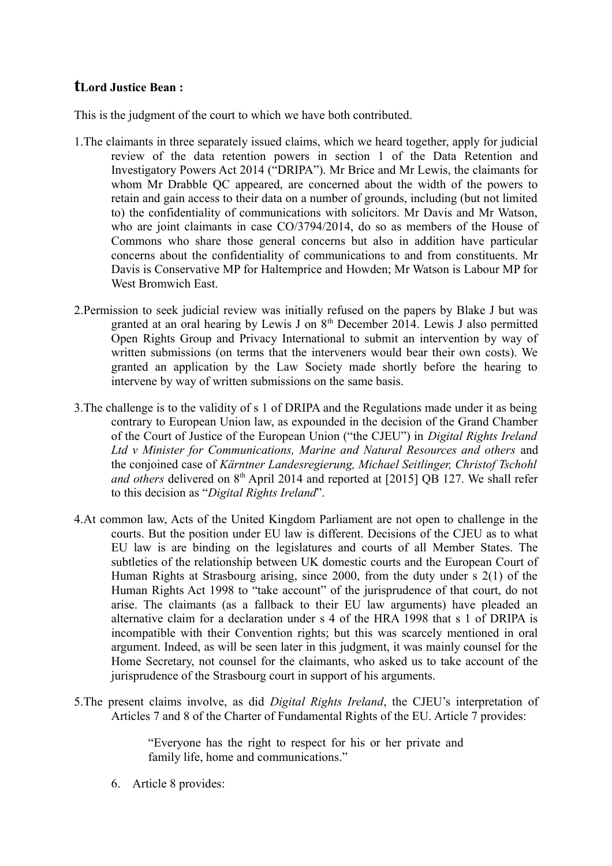# **tLord Justice Bean :**

This is the judgment of the court to which we have both contributed.

- 1.The claimants in three separately issued claims, which we heard together, apply for judicial review of the data retention powers in section 1 of the Data Retention and Investigatory Powers Act 2014 ("DRIPA"). Mr Brice and Mr Lewis, the claimants for whom Mr Drabble QC appeared, are concerned about the width of the powers to retain and gain access to their data on a number of grounds, including (but not limited to) the confidentiality of communications with solicitors. Mr Davis and Mr Watson, who are joint claimants in case  $CO/3794/2014$ , do so as members of the House of Commons who share those general concerns but also in addition have particular concerns about the confidentiality of communications to and from constituents. Mr Davis is Conservative MP for Haltemprice and Howden; Mr Watson is Labour MP for West Bromwich East.
- 2.Permission to seek judicial review was initially refused on the papers by Blake J but was granted at an oral hearing by Lewis J on  $8<sup>th</sup>$  December 2014. Lewis J also permitted Open Rights Group and Privacy International to submit an intervention by way of written submissions (on terms that the interveners would bear their own costs). We granted an application by the Law Society made shortly before the hearing to intervene by way of written submissions on the same basis.
- 3.The challenge is to the validity of s 1 of DRIPA and the Regulations made under it as being contrary to European Union law, as expounded in the decision of the Grand Chamber of the Court of Justice of the European Union ("the CJEU") in *Digital Rights Ireland Ltd v Minister for Communications, Marine and Natural Resources and others* and the conjoined case of *Kärntner Landesregierung, Michael Seitlinger, Christof Tschohl and others* delivered on 8<sup>th</sup> April 2014 and reported at [2015] OB 127. We shall refer to this decision as "*Digital Rights Ireland*".
- 4.At common law, Acts of the United Kingdom Parliament are not open to challenge in the courts. But the position under EU law is different. Decisions of the CJEU as to what EU law is are binding on the legislatures and courts of all Member States. The subtleties of the relationship between UK domestic courts and the European Court of Human Rights at Strasbourg arising, since 2000, from the duty under s 2(1) of the Human Rights Act 1998 to "take account" of the jurisprudence of that court, do not arise. The claimants (as a fallback to their EU law arguments) have pleaded an alternative claim for a declaration under s 4 of the HRA 1998 that s 1 of DRIPA is incompatible with their Convention rights; but this was scarcely mentioned in oral argument. Indeed, as will be seen later in this judgment, it was mainly counsel for the Home Secretary, not counsel for the claimants, who asked us to take account of the jurisprudence of the Strasbourg court in support of his arguments.
- 5.The present claims involve, as did *Digital Rights Ireland*, the CJEU's interpretation of Articles 7 and 8 of the Charter of Fundamental Rights of the EU. Article 7 provides:

"Everyone has the right to respect for his or her private and family life, home and communications."

6. Article 8 provides: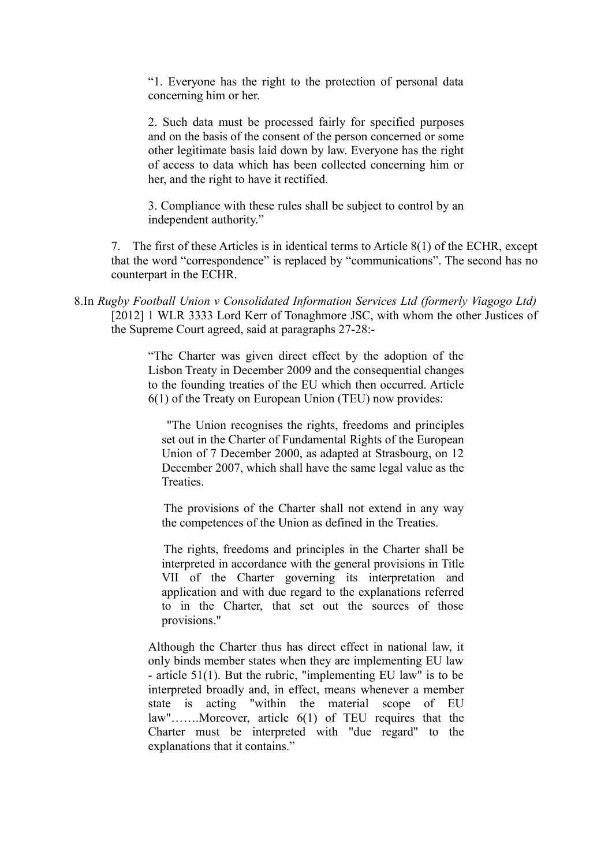"1. Everyone has the right to the protection of personal data concerning him or her.

2. Such data must be processed fairly for specified purposes and on the basis of the consent of the person concerned or some other legitimate basis laid down by law. Everyone has the right of access to data which has been collected concerning him or her, and the right to have it rectified.

3. Compliance with these rules shall be subject to control by an independent authority."

7. The first of these Articles is in identical terms to Article 8(1) of the ECHR, except that the word "correspondence" is replaced by "communications". The second has no counterpart in the ECHR.

8.In *Rugby Football Union v Consolidated Information Services Ltd (formerly Viagogo Ltd)* [2012] 1 WLR 3333 Lord Kerr of Tonaghmore JSC, with whom the other Justices of the Supreme Court agreed, said at paragraphs 27-28:-

> "The Charter was given direct effect by the adoption of the Lisbon Treaty in December 2009 and the consequential changes to the founding treaties of the EU which then occurred. Article 6(1) of the Treaty on European Union (TEU) now provides:

"The Union recognises the rights, freedoms and principles set out in the Charter of Fundamental Rights of the European Union of 7 December 2000, as adapted at Strasbourg, on 12 December 2007, which shall have the same legal value as the **Treaties** 

The provisions of the Charter shall not extend in any way the competences of the Union as defined in the Treaties.

The rights, freedoms and principles in the Charter shall be interpreted in accordance with the general provisions in Title VII of the Charter governing its interpretation and application and with due regard to the explanations referred to in the Charter, that set out the sources of those provisions."

Although the Charter thus has direct effect in national law, it only binds member states when they are implementing EU law - article 51(1). But the rubric, "implementing EU law" is to be interpreted broadly and, in effect, means whenever a member state is acting "within the material scope of EU law"…….Moreover, article 6(1) of TEU requires that the Charter must be interpreted with "due regard" to the explanations that it contains."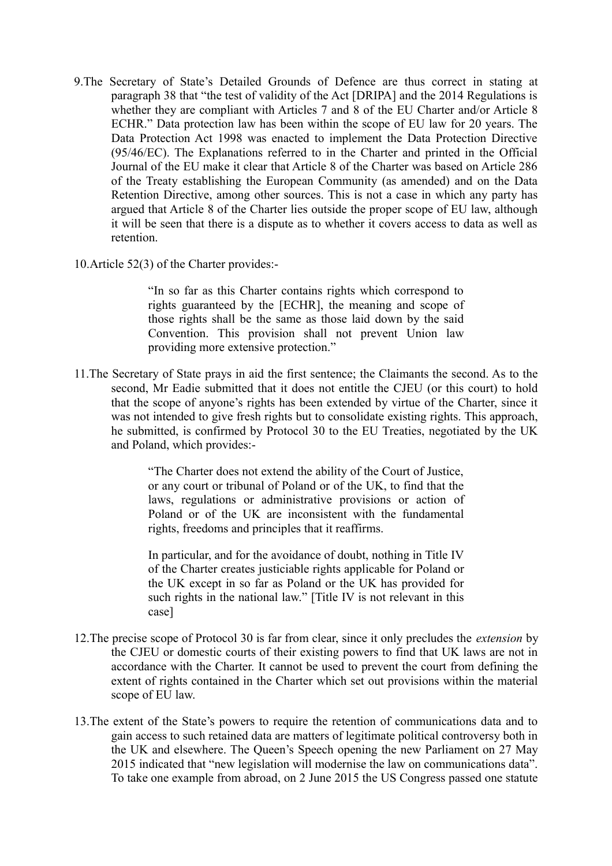- 9.The Secretary of State's Detailed Grounds of Defence are thus correct in stating at paragraph 38 that "the test of validity of the Act [DRIPA] and the 2014 Regulations is whether they are compliant with Articles 7 and 8 of the EU Charter and/or Article 8 ECHR." Data protection law has been within the scope of EU law for 20 years. The Data Protection Act 1998 was enacted to implement the Data Protection Directive (95/46/EC). The Explanations referred to in the Charter and printed in the Official Journal of the EU make it clear that Article 8 of the Charter was based on Article 286 of the Treaty establishing the European Community (as amended) and on the Data Retention Directive, among other sources. This is not a case in which any party has argued that Article 8 of the Charter lies outside the proper scope of EU law, although it will be seen that there is a dispute as to whether it covers access to data as well as retention.
- 10.Article 52(3) of the Charter provides:-

"In so far as this Charter contains rights which correspond to rights guaranteed by the [ECHR], the meaning and scope of those rights shall be the same as those laid down by the said Convention. This provision shall not prevent Union law providing more extensive protection."

11.The Secretary of State prays in aid the first sentence; the Claimants the second. As to the second, Mr Eadie submitted that it does not entitle the CJEU (or this court) to hold that the scope of anyone's rights has been extended by virtue of the Charter, since it was not intended to give fresh rights but to consolidate existing rights. This approach, he submitted, is confirmed by Protocol 30 to the EU Treaties, negotiated by the UK and Poland, which provides:-

> "The Charter does not extend the ability of the Court of Justice, or any court or tribunal of Poland or of the UK, to find that the laws, regulations or administrative provisions or action of Poland or of the UK are inconsistent with the fundamental rights, freedoms and principles that it reaffirms.

> In particular, and for the avoidance of doubt, nothing in Title IV of the Charter creates justiciable rights applicable for Poland or the UK except in so far as Poland or the UK has provided for such rights in the national law." [Title IV is not relevant in this case]

- 12.The precise scope of Protocol 30 is far from clear, since it only precludes the *extension* by the CJEU or domestic courts of their existing powers to find that UK laws are not in accordance with the Charter. It cannot be used to prevent the court from defining the extent of rights contained in the Charter which set out provisions within the material scope of EU law.
- 13.The extent of the State's powers to require the retention of communications data and to gain access to such retained data are matters of legitimate political controversy both in the UK and elsewhere. The Queen's Speech opening the new Parliament on 27 May 2015 indicated that "new legislation will modernise the law on communications data". To take one example from abroad, on 2 June 2015 the US Congress passed one statute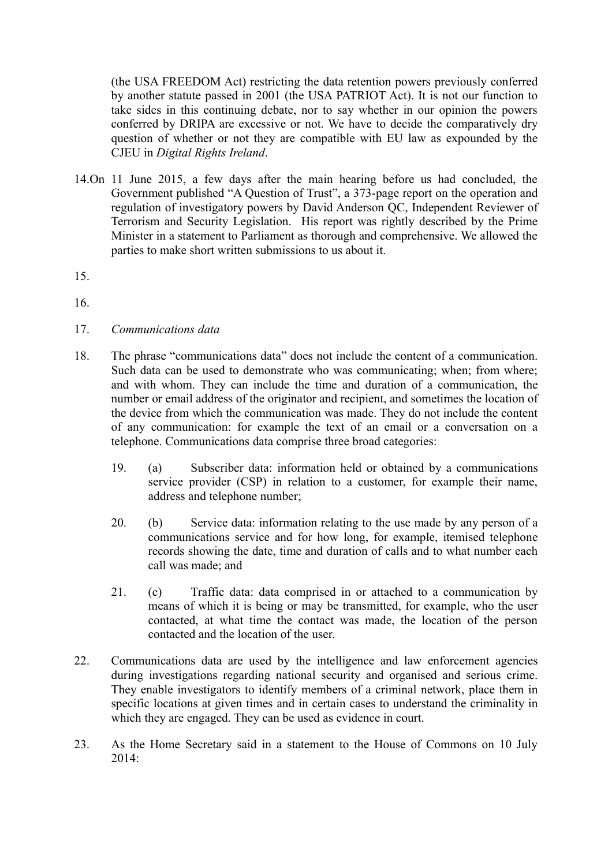(the USA FREEDOM Act) restricting the data retention powers previously conferred by another statute passed in 2001 (the USA PATRIOT Act). It is not our function to take sides in this continuing debate, nor to say whether in our opinion the powers conferred by DRIPA are excessive or not. We have to decide the comparatively dry question of whether or not they are compatible with EU law as expounded by the CJEU in *Digital Rights Ireland*.

14.On 11 June 2015, a few days after the main hearing before us had concluded, the Government published "A Question of Trust", a 373-page report on the operation and regulation of investigatory powers by David Anderson QC, Independent Reviewer of Terrorism and Security Legislation. His report was rightly described by the Prime Minister in a statement to Parliament as thorough and comprehensive. We allowed the parties to make short written submissions to us about it.

15.

16.

- 17. *Communications data*
- 18. The phrase "communications data" does not include the content of a communication. Such data can be used to demonstrate who was communicating; when; from where; and with whom. They can include the time and duration of a communication, the number or email address of the originator and recipient, and sometimes the location of the device from which the communication was made. They do not include the content of any communication: for example the text of an email or a conversation on a telephone. Communications data comprise three broad categories:
	- 19. (a) Subscriber data: information held or obtained by a communications service provider (CSP) in relation to a customer, for example their name, address and telephone number;
	- 20. (b) Service data: information relating to the use made by any person of a communications service and for how long, for example, itemised telephone records showing the date, time and duration of calls and to what number each call was made; and
	- 21. (c) Traffic data: data comprised in or attached to a communication by means of which it is being or may be transmitted, for example, who the user contacted, at what time the contact was made, the location of the person contacted and the location of the user.
- 22. Communications data are used by the intelligence and law enforcement agencies during investigations regarding national security and organised and serious crime. They enable investigators to identify members of a criminal network, place them in specific locations at given times and in certain cases to understand the criminality in which they are engaged. They can be used as evidence in court.
- 23. As the Home Secretary said in a statement to the House of Commons on 10 July 2014: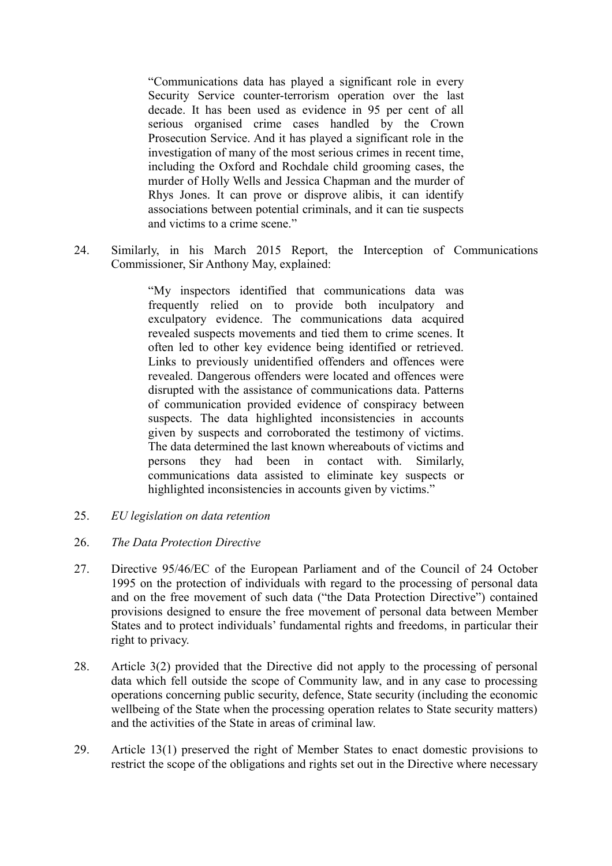"Communications data has played a significant role in every Security Service counter-terrorism operation over the last decade. It has been used as evidence in 95 per cent of all serious organised crime cases handled by the Crown Prosecution Service. And it has played a significant role in the investigation of many of the most serious crimes in recent time, including the Oxford and Rochdale child grooming cases, the murder of Holly Wells and Jessica Chapman and the murder of Rhys Jones. It can prove or disprove alibis, it can identify associations between potential criminals, and it can tie suspects and victims to a crime scene."

24. Similarly, in his March 2015 Report, the Interception of Communications Commissioner, Sir Anthony May, explained:

> "My inspectors identified that communications data was frequently relied on to provide both inculpatory and exculpatory evidence. The communications data acquired revealed suspects movements and tied them to crime scenes. It often led to other key evidence being identified or retrieved. Links to previously unidentified offenders and offences were revealed. Dangerous offenders were located and offences were disrupted with the assistance of communications data. Patterns of communication provided evidence of conspiracy between suspects. The data highlighted inconsistencies in accounts given by suspects and corroborated the testimony of victims. The data determined the last known whereabouts of victims and persons they had been in contact with. Similarly, communications data assisted to eliminate key suspects or highlighted inconsistencies in accounts given by victims."

25. *EU legislation on data retention*

### 26. *The Data Protection Directive*

- 27. Directive 95/46/EC of the European Parliament and of the Council of 24 October 1995 on the protection of individuals with regard to the processing of personal data and on the free movement of such data ("the Data Protection Directive") contained provisions designed to ensure the free movement of personal data between Member States and to protect individuals' fundamental rights and freedoms, in particular their right to privacy.
- 28. Article 3(2) provided that the Directive did not apply to the processing of personal data which fell outside the scope of Community law, and in any case to processing operations concerning public security, defence, State security (including the economic wellbeing of the State when the processing operation relates to State security matters) and the activities of the State in areas of criminal law.
- 29. Article 13(1) preserved the right of Member States to enact domestic provisions to restrict the scope of the obligations and rights set out in the Directive where necessary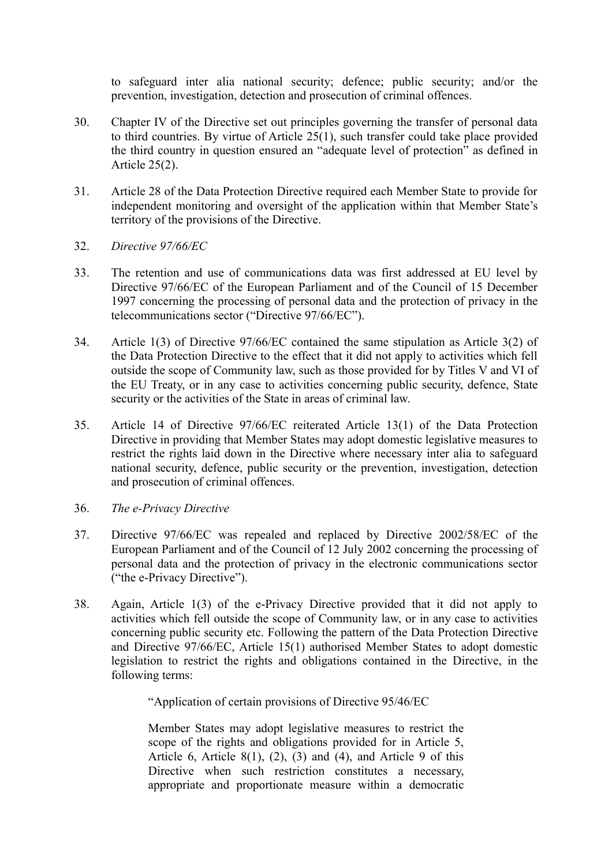to safeguard inter alia national security; defence; public security; and/or the prevention, investigation, detection and prosecution of criminal offences.

- 30. Chapter IV of the Directive set out principles governing the transfer of personal data to third countries. By virtue of Article 25(1), such transfer could take place provided the third country in question ensured an "adequate level of protection" as defined in Article 25(2).
- 31. Article 28 of the Data Protection Directive required each Member State to provide for independent monitoring and oversight of the application within that Member State's territory of the provisions of the Directive.
- 32. *Directive 97/66/EC*
- 33. The retention and use of communications data was first addressed at EU level by Directive 97/66/EC of the European Parliament and of the Council of 15 December 1997 concerning the processing of personal data and the protection of privacy in the telecommunications sector ("Directive 97/66/EC").
- 34. Article 1(3) of Directive 97/66/EC contained the same stipulation as Article 3(2) of the Data Protection Directive to the effect that it did not apply to activities which fell outside the scope of Community law, such as those provided for by Titles V and VI of the EU Treaty, or in any case to activities concerning public security, defence, State security or the activities of the State in areas of criminal law.
- 35. Article 14 of Directive 97/66/EC reiterated Article 13(1) of the Data Protection Directive in providing that Member States may adopt domestic legislative measures to restrict the rights laid down in the Directive where necessary inter alia to safeguard national security, defence, public security or the prevention, investigation, detection and prosecution of criminal offences.
- 36. *The e-Privacy Directive*
- 37. Directive 97/66/EC was repealed and replaced by Directive 2002/58/EC of the European Parliament and of the Council of 12 July 2002 concerning the processing of personal data and the protection of privacy in the electronic communications sector ("the e-Privacy Directive").
- 38. Again, Article 1(3) of the e-Privacy Directive provided that it did not apply to activities which fell outside the scope of Community law, or in any case to activities concerning public security etc. Following the pattern of the Data Protection Directive and Directive 97/66/EC, Article 15(1) authorised Member States to adopt domestic legislation to restrict the rights and obligations contained in the Directive, in the following terms:

"Application of certain provisions of Directive 95/46/EC

Member States may adopt legislative measures to restrict the scope of the rights and obligations provided for in Article 5, Article 6, Article 8(1), (2), (3) and (4), and Article 9 of this Directive when such restriction constitutes a necessary, appropriate and proportionate measure within a democratic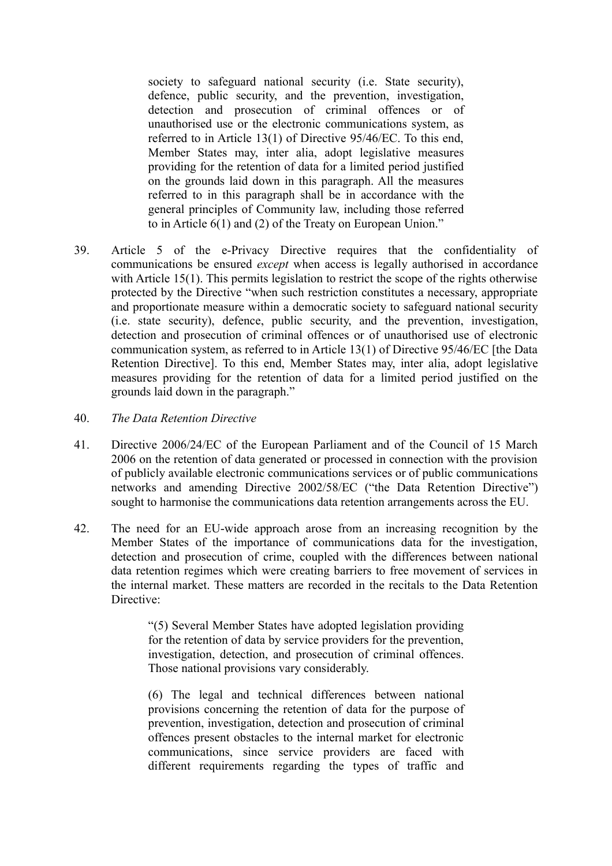society to safeguard national security (i.e. State security), defence, public security, and the prevention, investigation, detection and prosecution of criminal offences or of unauthorised use or the electronic communications system, as referred to in Article 13(1) of Directive 95/46/EC. To this end, Member States may, inter alia, adopt legislative measures providing for the retention of data for a limited period justified on the grounds laid down in this paragraph. All the measures referred to in this paragraph shall be in accordance with the general principles of Community law, including those referred to in Article 6(1) and (2) of the Treaty on European Union."

- 39. Article 5 of the e-Privacy Directive requires that the confidentiality of communications be ensured *except* when access is legally authorised in accordance with Article 15(1). This permits legislation to restrict the scope of the rights otherwise protected by the Directive "when such restriction constitutes a necessary, appropriate and proportionate measure within a democratic society to safeguard national security (i.e. state security), defence, public security, and the prevention, investigation, detection and prosecution of criminal offences or of unauthorised use of electronic communication system, as referred to in Article 13(1) of Directive 95/46/EC [the Data Retention Directive]. To this end, Member States may, inter alia, adopt legislative measures providing for the retention of data for a limited period justified on the grounds laid down in the paragraph."
- 40. *The Data Retention Directive*
- 41. Directive 2006/24/EC of the European Parliament and of the Council of 15 March 2006 on the retention of data generated or processed in connection with the provision of publicly available electronic communications services or of public communications networks and amending Directive 2002/58/EC ("the Data Retention Directive") sought to harmonise the communications data retention arrangements across the EU.
- 42. The need for an EU-wide approach arose from an increasing recognition by the Member States of the importance of communications data for the investigation, detection and prosecution of crime, coupled with the differences between national data retention regimes which were creating barriers to free movement of services in the internal market. These matters are recorded in the recitals to the Data Retention Directive<sup>.</sup>

"(5) Several Member States have adopted legislation providing for the retention of data by service providers for the prevention, investigation, detection, and prosecution of criminal offences. Those national provisions vary considerably.

(6) The legal and technical differences between national provisions concerning the retention of data for the purpose of prevention, investigation, detection and prosecution of criminal offences present obstacles to the internal market for electronic communications, since service providers are faced with different requirements regarding the types of traffic and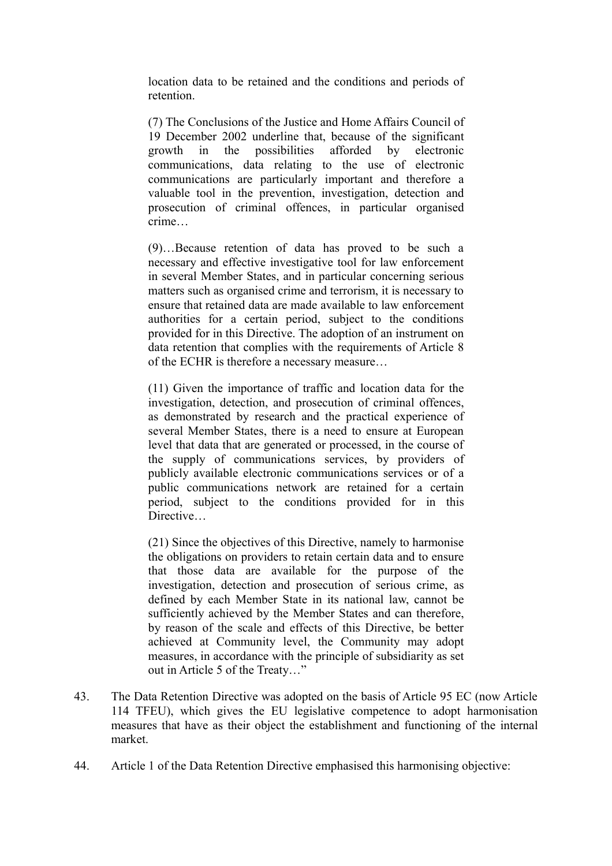location data to be retained and the conditions and periods of retention.

(7) The Conclusions of the Justice and Home Affairs Council of 19 December 2002 underline that, because of the significant growth in the possibilities afforded by electronic communications, data relating to the use of electronic communications are particularly important and therefore a valuable tool in the prevention, investigation, detection and prosecution of criminal offences, in particular organised crime…

(9)…Because retention of data has proved to be such a necessary and effective investigative tool for law enforcement in several Member States, and in particular concerning serious matters such as organised crime and terrorism, it is necessary to ensure that retained data are made available to law enforcement authorities for a certain period, subject to the conditions provided for in this Directive. The adoption of an instrument on data retention that complies with the requirements of Article 8 of the ECHR is therefore a necessary measure…

(11) Given the importance of traffic and location data for the investigation, detection, and prosecution of criminal offences, as demonstrated by research and the practical experience of several Member States, there is a need to ensure at European level that data that are generated or processed, in the course of the supply of communications services, by providers of publicly available electronic communications services or of a public communications network are retained for a certain period, subject to the conditions provided for in this Directive…

(21) Since the objectives of this Directive, namely to harmonise the obligations on providers to retain certain data and to ensure that those data are available for the purpose of the investigation, detection and prosecution of serious crime, as defined by each Member State in its national law, cannot be sufficiently achieved by the Member States and can therefore, by reason of the scale and effects of this Directive, be better achieved at Community level, the Community may adopt measures, in accordance with the principle of subsidiarity as set out in Article 5 of the Treaty…"

- 43. The Data Retention Directive was adopted on the basis of Article 95 EC (now Article 114 TFEU), which gives the EU legislative competence to adopt harmonisation measures that have as their object the establishment and functioning of the internal market.
- 44. Article 1 of the Data Retention Directive emphasised this harmonising objective: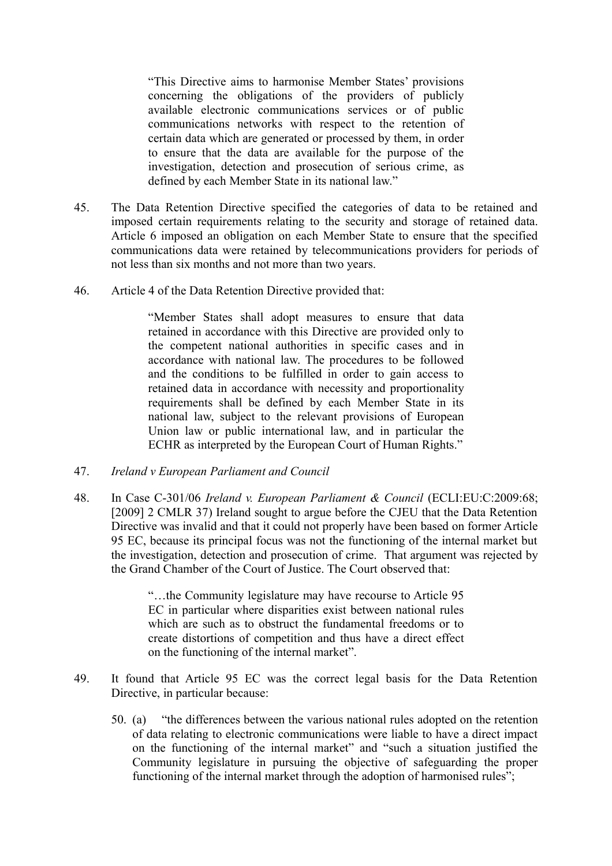"This Directive aims to harmonise Member States' provisions concerning the obligations of the providers of publicly available electronic communications services or of public communications networks with respect to the retention of certain data which are generated or processed by them, in order to ensure that the data are available for the purpose of the investigation, detection and prosecution of serious crime, as defined by each Member State in its national law."

- 45. The Data Retention Directive specified the categories of data to be retained and imposed certain requirements relating to the security and storage of retained data. Article 6 imposed an obligation on each Member State to ensure that the specified communications data were retained by telecommunications providers for periods of not less than six months and not more than two years.
- 46. Article 4 of the Data Retention Directive provided that:

"Member States shall adopt measures to ensure that data retained in accordance with this Directive are provided only to the competent national authorities in specific cases and in accordance with national law. The procedures to be followed and the conditions to be fulfilled in order to gain access to retained data in accordance with necessity and proportionality requirements shall be defined by each Member State in its national law, subject to the relevant provisions of European Union law or public international law, and in particular the ECHR as interpreted by the European Court of Human Rights."

- 47. *Ireland v European Parliament and Council*
- 48. In Case C-301/06 *Ireland v. European Parliament & Council* (ECLI:EU:C:2009:68; [2009] 2 CMLR 37) Ireland sought to argue before the CJEU that the Data Retention Directive was invalid and that it could not properly have been based on former Article 95 EC, because its principal focus was not the functioning of the internal market but the investigation, detection and prosecution of crime. That argument was rejected by the Grand Chamber of the Court of Justice. The Court observed that:

"…the Community legislature may have recourse to Article 95 EC in particular where disparities exist between national rules which are such as to obstruct the fundamental freedoms or to create distortions of competition and thus have a direct effect on the functioning of the internal market".

- 49. It found that Article 95 EC was the correct legal basis for the Data Retention Directive, in particular because:
	- 50. (a) "the differences between the various national rules adopted on the retention of data relating to electronic communications were liable to have a direct impact on the functioning of the internal market" and "such a situation justified the Community legislature in pursuing the objective of safeguarding the proper functioning of the internal market through the adoption of harmonised rules";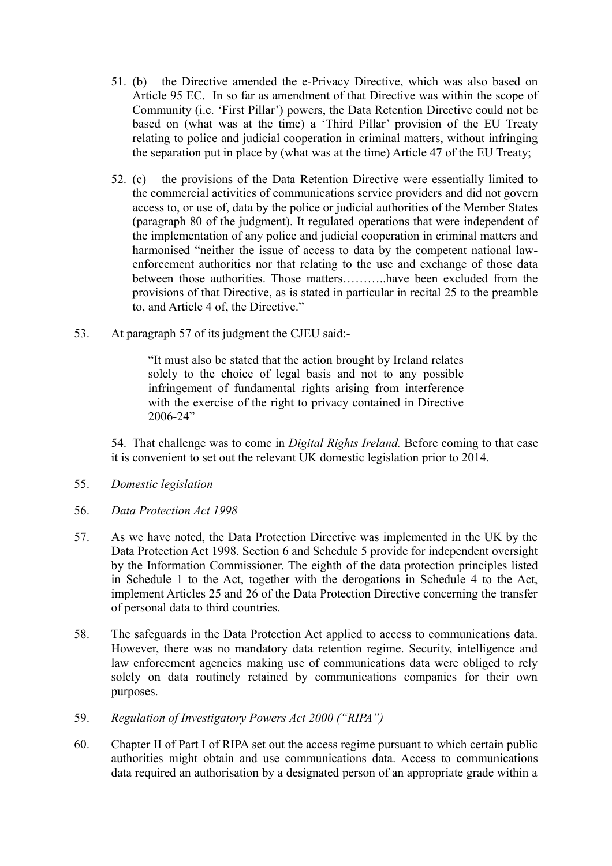- 51. (b) the Directive amended the e-Privacy Directive, which was also based on Article 95 EC. In so far as amendment of that Directive was within the scope of Community (i.e. 'First Pillar') powers, the Data Retention Directive could not be based on (what was at the time) a 'Third Pillar' provision of the EU Treaty relating to police and judicial cooperation in criminal matters, without infringing the separation put in place by (what was at the time) Article 47 of the EU Treaty;
- 52. (c) the provisions of the Data Retention Directive were essentially limited to the commercial activities of communications service providers and did not govern access to, or use of, data by the police or judicial authorities of the Member States (paragraph 80 of the judgment). It regulated operations that were independent of the implementation of any police and judicial cooperation in criminal matters and harmonised "neither the issue of access to data by the competent national lawenforcement authorities nor that relating to the use and exchange of those data between those authorities. Those matters………..have been excluded from the provisions of that Directive, as is stated in particular in recital 25 to the preamble to, and Article 4 of, the Directive."
- 53. At paragraph 57 of its judgment the CJEU said:-

"It must also be stated that the action brought by Ireland relates solely to the choice of legal basis and not to any possible infringement of fundamental rights arising from interference with the exercise of the right to privacy contained in Directive 2006-24"

54. That challenge was to come in *Digital Rights Ireland.* Before coming to that case it is convenient to set out the relevant UK domestic legislation prior to 2014.

- 55. *Domestic legislation*
- 56. *Data Protection Act 1998*
- 57. As we have noted, the Data Protection Directive was implemented in the UK by the Data Protection Act 1998. Section 6 and Schedule 5 provide for independent oversight by the Information Commissioner. The eighth of the data protection principles listed in Schedule 1 to the Act, together with the derogations in Schedule 4 to the Act, implement Articles 25 and 26 of the Data Protection Directive concerning the transfer of personal data to third countries.
- 58. The safeguards in the Data Protection Act applied to access to communications data. However, there was no mandatory data retention regime. Security, intelligence and law enforcement agencies making use of communications data were obliged to rely solely on data routinely retained by communications companies for their own purposes.
- 59. *Regulation of Investigatory Powers Act 2000 ("RIPA")*
- 60. Chapter II of Part I of RIPA set out the access regime pursuant to which certain public authorities might obtain and use communications data. Access to communications data required an authorisation by a designated person of an appropriate grade within a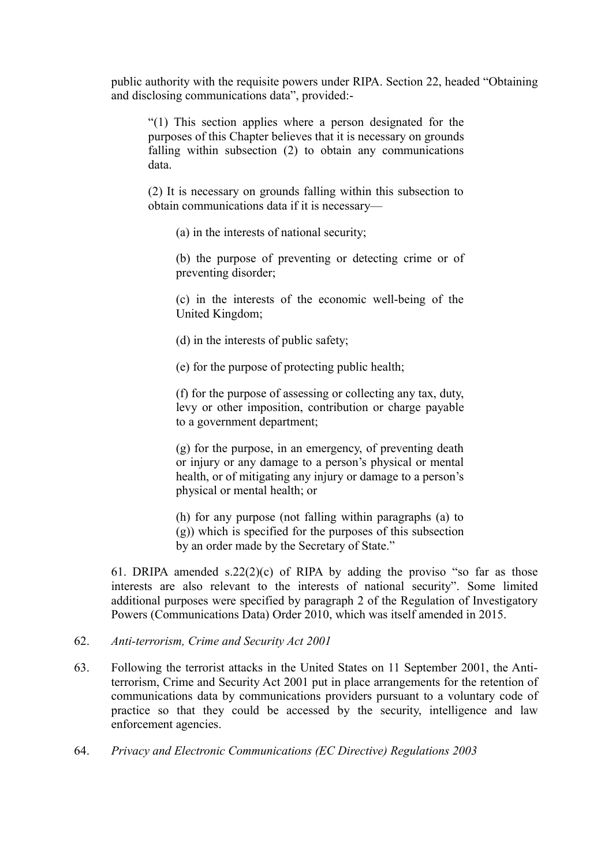public authority with the requisite powers under RIPA. Section 22, headed "Obtaining and disclosing communications data", provided:-

"(1) This section applies where a person designated for the purposes of this Chapter believes that it is necessary on grounds falling within subsection (2) to obtain any communications data.

(2) It is necessary on grounds falling within this subsection to obtain communications data if it is necessary—

(a) in the interests of national security;

(b) the purpose of preventing or detecting crime or of preventing disorder;

(c) in the interests of the economic well-being of the United Kingdom;

(d) in the interests of public safety;

(e) for the purpose of protecting public health;

(f) for the purpose of assessing or collecting any tax, duty, levy or other imposition, contribution or charge payable to a government department;

(g) for the purpose, in an emergency, of preventing death or injury or any damage to a person's physical or mental health, or of mitigating any injury or damage to a person's physical or mental health; or

(h) for any purpose (not falling within paragraphs (a) to (g)) which is specified for the purposes of this subsection by an order made by the Secretary of State."

61. DRIPA amended s.22(2)(c) of RIPA by adding the proviso "so far as those interests are also relevant to the interests of national security". Some limited additional purposes were specified by paragraph 2 of the Regulation of Investigatory Powers (Communications Data) Order 2010, which was itself amended in 2015.

#### 62. *Anti-terrorism, Crime and Security Act 2001*

- 63. Following the terrorist attacks in the United States on 11 September 2001, the Antiterrorism, Crime and Security Act 2001 put in place arrangements for the retention of communications data by communications providers pursuant to a voluntary code of practice so that they could be accessed by the security, intelligence and law enforcement agencies.
- 64. *Privacy and Electronic Communications (EC Directive) Regulations 2003*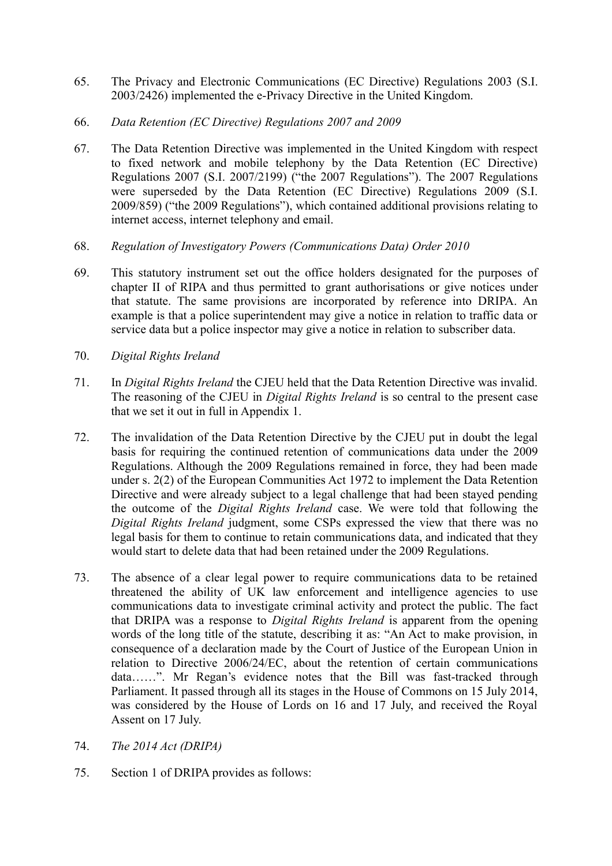- 65. The Privacy and Electronic Communications (EC Directive) Regulations 2003 (S.I. 2003/2426) implemented the e-Privacy Directive in the United Kingdom.
- 66. *Data Retention (EC Directive) Regulations 2007 and 2009*
- 67. The Data Retention Directive was implemented in the United Kingdom with respect to fixed network and mobile telephony by the Data Retention (EC Directive) Regulations 2007 (S.I. 2007/2199) ("the 2007 Regulations"). The 2007 Regulations were superseded by the Data Retention (EC Directive) Regulations 2009 (S.I. 2009/859) ("the 2009 Regulations"), which contained additional provisions relating to internet access, internet telephony and email.
- 68. *Regulation of Investigatory Powers (Communications Data) Order 2010*
- 69. This statutory instrument set out the office holders designated for the purposes of chapter II of RIPA and thus permitted to grant authorisations or give notices under that statute. The same provisions are incorporated by reference into DRIPA. An example is that a police superintendent may give a notice in relation to traffic data or service data but a police inspector may give a notice in relation to subscriber data.
- 70. *Digital Rights Ireland*
- 71. In *Digital Rights Ireland* the CJEU held that the Data Retention Directive was invalid. The reasoning of the CJEU in *Digital Rights Ireland* is so central to the present case that we set it out in full in Appendix 1.
- 72. The invalidation of the Data Retention Directive by the CJEU put in doubt the legal basis for requiring the continued retention of communications data under the 2009 Regulations. Although the 2009 Regulations remained in force, they had been made under s. 2(2) of the European Communities Act 1972 to implement the Data Retention Directive and were already subject to a legal challenge that had been stayed pending the outcome of the *Digital Rights Ireland* case. We were told that following the *Digital Rights Ireland* judgment, some CSPs expressed the view that there was no legal basis for them to continue to retain communications data, and indicated that they would start to delete data that had been retained under the 2009 Regulations.
- 73. The absence of a clear legal power to require communications data to be retained threatened the ability of UK law enforcement and intelligence agencies to use communications data to investigate criminal activity and protect the public. The fact that DRIPA was a response to *Digital Rights Ireland* is apparent from the opening words of the long title of the statute, describing it as: "An Act to make provision, in consequence of a declaration made by the Court of Justice of the European Union in relation to Directive 2006/24/EC, about the retention of certain communications data……". Mr Regan's evidence notes that the Bill was fast-tracked through Parliament. It passed through all its stages in the House of Commons on 15 July 2014, was considered by the House of Lords on 16 and 17 July, and received the Royal Assent on 17 July.
- 74. *The 2014 Act (DRIPA)*
- 75. Section 1 of DRIPA provides as follows: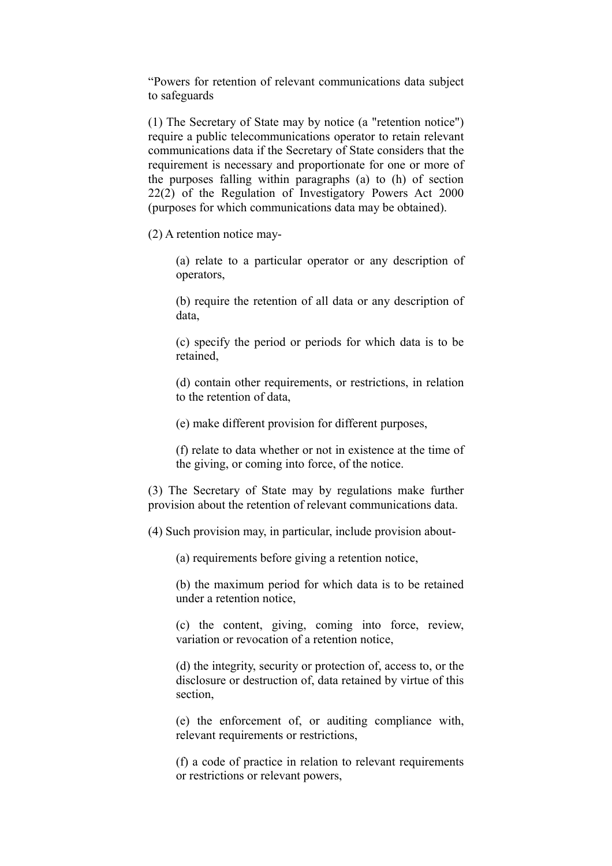"Powers for retention of relevant communications data subject to safeguards

(1) The Secretary of State may by notice (a "retention notice") require a public telecommunications operator to retain relevant communications data if the Secretary of State considers that the requirement is necessary and proportionate for one or more of the purposes falling within paragraphs (a) to (h) of section 22(2) of the Regulation of Investigatory Powers Act 2000 (purposes for which communications data may be obtained).

(2) A retention notice may-

(a) relate to a particular operator or any description of operators,

(b) require the retention of all data or any description of data,

(c) specify the period or periods for which data is to be retained,

(d) contain other requirements, or restrictions, in relation to the retention of data,

(e) make different provision for different purposes,

(f) relate to data whether or not in existence at the time of the giving, or coming into force, of the notice.

(3) The Secretary of State may by regulations make further provision about the retention of relevant communications data.

(4) Such provision may, in particular, include provision about-

(a) requirements before giving a retention notice,

(b) the maximum period for which data is to be retained under a retention notice,

(c) the content, giving, coming into force, review, variation or revocation of a retention notice,

(d) the integrity, security or protection of, access to, or the disclosure or destruction of, data retained by virtue of this section,

(e) the enforcement of, or auditing compliance with, relevant requirements or restrictions,

(f) a code of practice in relation to relevant requirements or restrictions or relevant powers,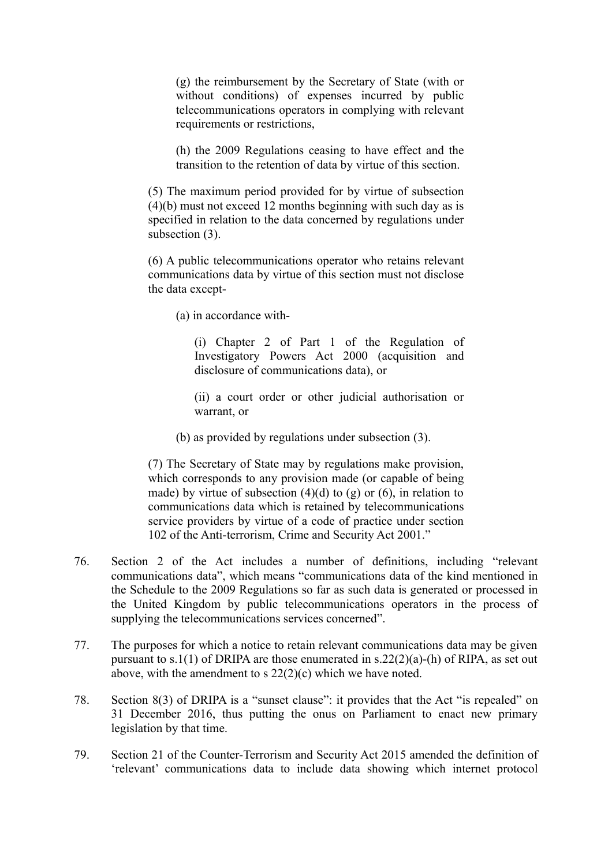(g) the reimbursement by the Secretary of State (with or without conditions) of expenses incurred by public telecommunications operators in complying with relevant requirements or restrictions,

(h) the 2009 Regulations ceasing to have effect and the transition to the retention of data by virtue of this section.

(5) The maximum period provided for by virtue of subsection (4)(b) must not exceed 12 months beginning with such day as is specified in relation to the data concerned by regulations under subsection  $(3)$ .

(6) A public telecommunications operator who retains relevant communications data by virtue of this section must not disclose the data except-

(a) in accordance with-

(i) Chapter 2 of Part 1 of the Regulation of Investigatory Powers Act 2000 (acquisition and disclosure of communications data), or

(ii) a court order or other judicial authorisation or warrant, or

(b) as provided by regulations under subsection (3).

(7) The Secretary of State may by regulations make provision, which corresponds to any provision made (or capable of being made) by virtue of subsection  $(4)(d)$  to  $(g)$  or  $(6)$ , in relation to communications data which is retained by telecommunications service providers by virtue of a code of practice under section 102 of the Anti-terrorism, Crime and Security Act 2001."

- 76. Section 2 of the Act includes a number of definitions, including "relevant communications data", which means "communications data of the kind mentioned in the Schedule to the 2009 Regulations so far as such data is generated or processed in the United Kingdom by public telecommunications operators in the process of supplying the telecommunications services concerned".
- 77. The purposes for which a notice to retain relevant communications data may be given pursuant to s.1(1) of DRIPA are those enumerated in s.22(2)(a)-(h) of RIPA, as set out above, with the amendment to s 22(2)(c) which we have noted.
- 78. Section 8(3) of DRIPA is a "sunset clause": it provides that the Act "is repealed" on 31 December 2016, thus putting the onus on Parliament to enact new primary legislation by that time.
- 79. Section 21 of the Counter-Terrorism and Security Act 2015 amended the definition of 'relevant' communications data to include data showing which internet protocol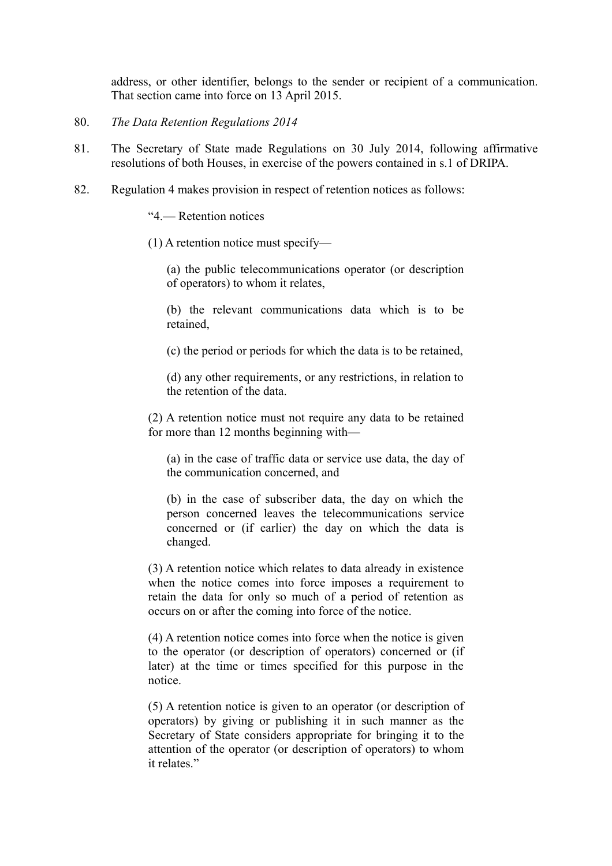address, or other identifier, belongs to the sender or recipient of a communication. That section came into force on 13 April 2015.

- 80. *The Data Retention Regulations 2014*
- 81. The Secretary of State made Regulations on 30 July 2014, following affirmative resolutions of both Houses, in exercise of the powers contained in s.1 of DRIPA.
- 82. Regulation 4 makes provision in respect of retention notices as follows:

"4.— Retention notices

(1) A retention notice must specify—

(a) the public telecommunications operator (or description of operators) to whom it relates,

(b) the relevant communications data which is to be retained,

(c) the period or periods for which the data is to be retained,

(d) any other requirements, or any restrictions, in relation to the retention of the data.

(2) A retention notice must not require any data to be retained for more than 12 months beginning with—

(a) in the case of traffic data or service use data, the day of the communication concerned, and

(b) in the case of subscriber data, the day on which the person concerned leaves the telecommunications service concerned or (if earlier) the day on which the data is changed.

(3) A retention notice which relates to data already in existence when the notice comes into force imposes a requirement to retain the data for only so much of a period of retention as occurs on or after the coming into force of the notice.

(4) A retention notice comes into force when the notice is given to the operator (or description of operators) concerned or (if later) at the time or times specified for this purpose in the notice.

(5) A retention notice is given to an operator (or description of operators) by giving or publishing it in such manner as the Secretary of State considers appropriate for bringing it to the attention of the operator (or description of operators) to whom it relates."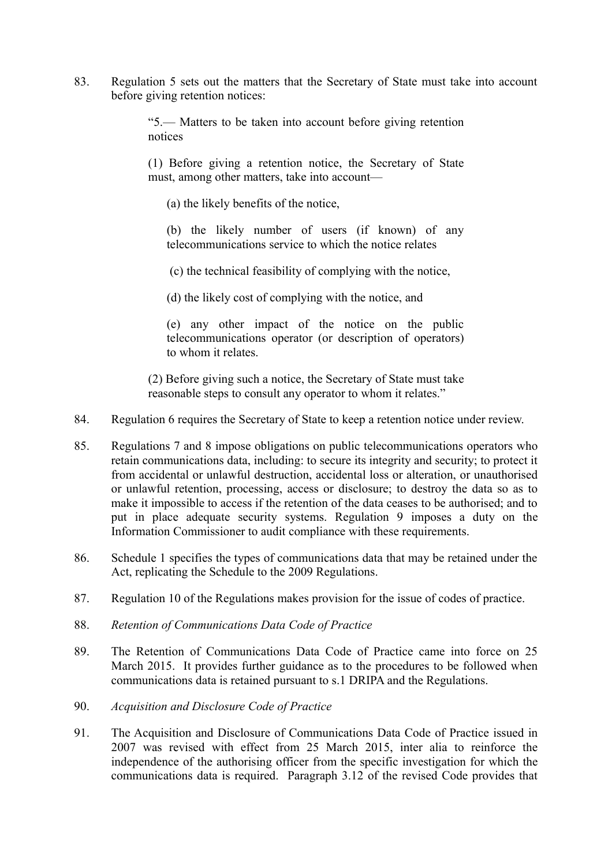83. Regulation 5 sets out the matters that the Secretary of State must take into account before giving retention notices:

> "5.— Matters to be taken into account before giving retention notices

> (1) Before giving a retention notice, the Secretary of State must, among other matters, take into account—

(a) the likely benefits of the notice,

(b) the likely number of users (if known) of any telecommunications service to which the notice relates

(c) the technical feasibility of complying with the notice,

(d) the likely cost of complying with the notice, and

(e) any other impact of the notice on the public telecommunications operator (or description of operators) to whom it relates.

(2) Before giving such a notice, the Secretary of State must take reasonable steps to consult any operator to whom it relates."

- 84. Regulation 6 requires the Secretary of State to keep a retention notice under review.
- 85. Regulations 7 and 8 impose obligations on public telecommunications operators who retain communications data, including: to secure its integrity and security; to protect it from accidental or unlawful destruction, accidental loss or alteration, or unauthorised or unlawful retention, processing, access or disclosure; to destroy the data so as to make it impossible to access if the retention of the data ceases to be authorised; and to put in place adequate security systems. Regulation 9 imposes a duty on the Information Commissioner to audit compliance with these requirements.
- 86. Schedule 1 specifies the types of communications data that may be retained under the Act, replicating the Schedule to the 2009 Regulations.
- 87. Regulation 10 of the Regulations makes provision for the issue of codes of practice.
- 88. *Retention of Communications Data Code of Practice*
- 89. The Retention of Communications Data Code of Practice came into force on 25 March 2015. It provides further guidance as to the procedures to be followed when communications data is retained pursuant to s.1 DRIPA and the Regulations.
- 90. *Acquisition and Disclosure Code of Practice*
- 91. The Acquisition and Disclosure of Communications Data Code of Practice issued in 2007 was revised with effect from 25 March 2015, inter alia to reinforce the independence of the authorising officer from the specific investigation for which the communications data is required. Paragraph 3.12 of the revised Code provides that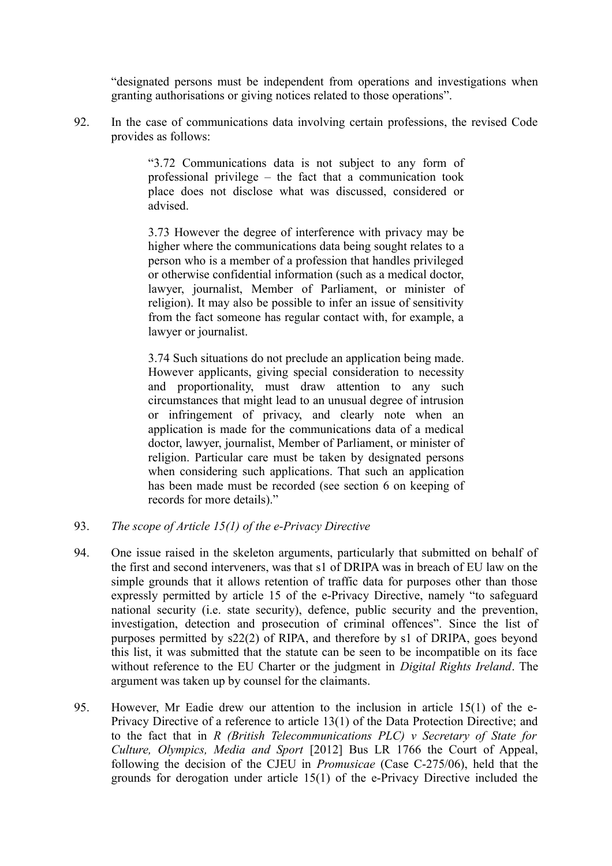"designated persons must be independent from operations and investigations when granting authorisations or giving notices related to those operations".

92. In the case of communications data involving certain professions, the revised Code provides as follows:

> "3.72 Communications data is not subject to any form of professional privilege – the fact that a communication took place does not disclose what was discussed, considered or advised.

> 3.73 However the degree of interference with privacy may be higher where the communications data being sought relates to a person who is a member of a profession that handles privileged or otherwise confidential information (such as a medical doctor, lawyer, journalist, Member of Parliament, or minister of religion). It may also be possible to infer an issue of sensitivity from the fact someone has regular contact with, for example, a lawyer or journalist.

> 3.74 Such situations do not preclude an application being made. However applicants, giving special consideration to necessity and proportionality, must draw attention to any such circumstances that might lead to an unusual degree of intrusion or infringement of privacy, and clearly note when an application is made for the communications data of a medical doctor, lawyer, journalist, Member of Parliament, or minister of religion. Particular care must be taken by designated persons when considering such applications. That such an application has been made must be recorded (see section 6 on keeping of records for more details)."

- 93. *The scope of Article 15(1) of the e-Privacy Directive*
- 94. One issue raised in the skeleton arguments, particularly that submitted on behalf of the first and second interveners, was that s1 of DRIPA was in breach of EU law on the simple grounds that it allows retention of traffic data for purposes other than those expressly permitted by article 15 of the e-Privacy Directive, namely "to safeguard national security (i.e. state security), defence, public security and the prevention, investigation, detection and prosecution of criminal offences". Since the list of purposes permitted by s22(2) of RIPA, and therefore by s1 of DRIPA, goes beyond this list, it was submitted that the statute can be seen to be incompatible on its face without reference to the EU Charter or the judgment in *Digital Rights Ireland*. The argument was taken up by counsel for the claimants.
- 95. However, Mr Eadie drew our attention to the inclusion in article 15(1) of the e-Privacy Directive of a reference to article 13(1) of the Data Protection Directive; and to the fact that in *R (British Telecommunications PLC) v Secretary of State for Culture, Olympics, Media and Sport* [2012] Bus LR 1766 the Court of Appeal, following the decision of the CJEU in *Promusicae* (Case C-275/06), held that the grounds for derogation under article 15(1) of the e-Privacy Directive included the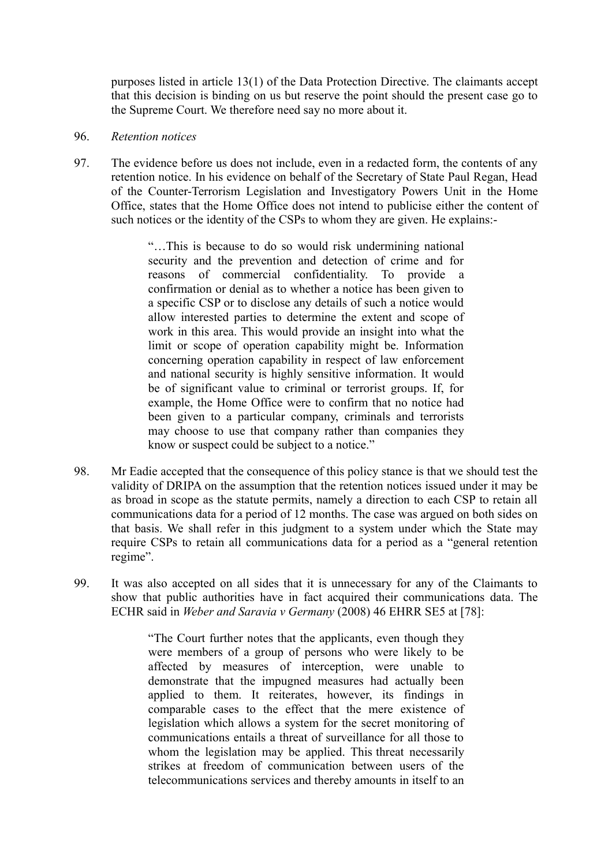purposes listed in article 13(1) of the Data Protection Directive. The claimants accept that this decision is binding on us but reserve the point should the present case go to the Supreme Court. We therefore need say no more about it.

#### 96. *Retention notices*

97. The evidence before us does not include, even in a redacted form, the contents of any retention notice. In his evidence on behalf of the Secretary of State Paul Regan, Head of the Counter-Terrorism Legislation and Investigatory Powers Unit in the Home Office, states that the Home Office does not intend to publicise either the content of such notices or the identity of the CSPs to whom they are given. He explains:-

> "…This is because to do so would risk undermining national security and the prevention and detection of crime and for reasons of commercial confidentiality. To provide a confirmation or denial as to whether a notice has been given to a specific CSP or to disclose any details of such a notice would allow interested parties to determine the extent and scope of work in this area. This would provide an insight into what the limit or scope of operation capability might be. Information concerning operation capability in respect of law enforcement and national security is highly sensitive information. It would be of significant value to criminal or terrorist groups. If, for example, the Home Office were to confirm that no notice had been given to a particular company, criminals and terrorists may choose to use that company rather than companies they know or suspect could be subject to a notice."

- 98. Mr Eadie accepted that the consequence of this policy stance is that we should test the validity of DRIPA on the assumption that the retention notices issued under it may be as broad in scope as the statute permits, namely a direction to each CSP to retain all communications data for a period of 12 months. The case was argued on both sides on that basis. We shall refer in this judgment to a system under which the State may require CSPs to retain all communications data for a period as a "general retention regime".
- 99. It was also accepted on all sides that it is unnecessary for any of the Claimants to show that public authorities have in fact acquired their communications data. The ECHR said in *Weber and Saravia v Germany* (2008) 46 EHRR SE5 at [78]:

"The Court further notes that the applicants, even though they were members of a group of persons who were likely to be affected by measures of interception, were unable to demonstrate that the impugned measures had actually been applied to them. It reiterates, however, its findings in comparable cases to the effect that the mere existence of legislation which allows a system for the secret monitoring of communications entails a threat of surveillance for all those to whom the legislation may be applied. This threat necessarily strikes at freedom of communication between users of the telecommunications services and thereby amounts in itself to an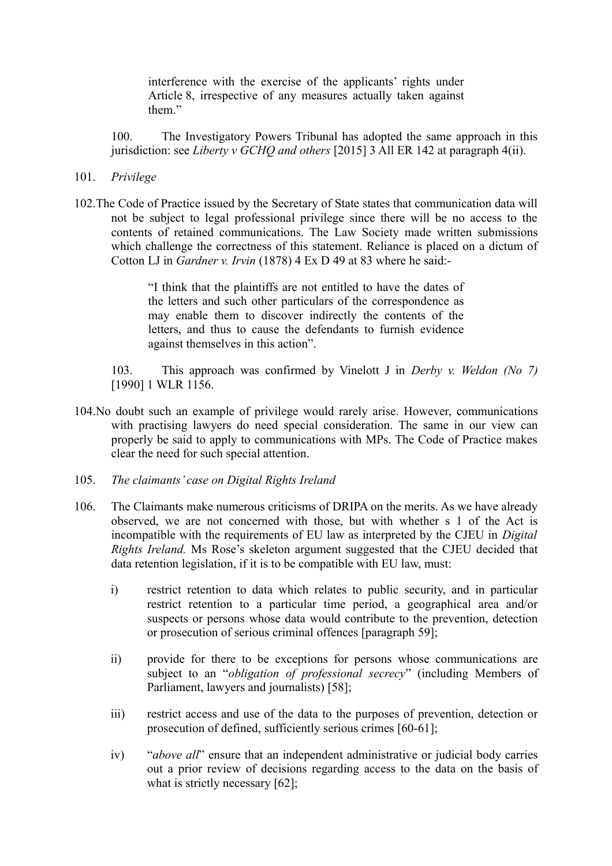interference with the exercise of the applicants' rights under Article 8, irrespective of any measures actually taken against them"

100. The Investigatory Powers Tribunal has adopted the same approach in this jurisdiction: see *Liberty v GCHQ and others* [2015] 3 All ER 142 at paragraph 4(ii).

- 101. *Privilege*
- 102.The Code of Practice issued by the Secretary of State states that communication data will not be subject to legal professional privilege since there will be no access to the contents of retained communications. The Law Society made written submissions which challenge the correctness of this statement. Reliance is placed on a dictum of Cotton LJ in *Gardner v. Irvin* (1878) 4 Ex D 49 at 83 where he said:-

"I think that the plaintiffs are not entitled to have the dates of the letters and such other particulars of the correspondence as may enable them to discover indirectly the contents of the letters, and thus to cause the defendants to furnish evidence against themselves in this action".

103. This approach was confirmed by Vinelott J in *Derby v. Weldon (No 7)* [1990] 1 WLR 1156.

- 104.No doubt such an example of privilege would rarely arise. However, communications with practising lawyers do need special consideration. The same in our view can properly be said to apply to communications with MPs. The Code of Practice makes clear the need for such special attention.
- 105. *The claimants' case on Digital Rights Ireland*
- 106. The Claimants make numerous criticisms of DRIPA on the merits. As we have already observed, we are not concerned with those, but with whether s 1 of the Act is incompatible with the requirements of EU law as interpreted by the CJEU in *Digital Rights Ireland.* Ms Rose's skeleton argument suggested that the CJEU decided that data retention legislation, if it is to be compatible with EU law, must:
	- i) restrict retention to data which relates to public security, and in particular restrict retention to a particular time period, a geographical area and/or suspects or persons whose data would contribute to the prevention, detection or prosecution of serious criminal offences [paragraph 59];
	- ii) provide for there to be exceptions for persons whose communications are subject to an "*obligation of professional secrecy*" (including Members of Parliament, lawyers and journalists) [58];
	- iii) restrict access and use of the data to the purposes of prevention, detection or prosecution of defined, sufficiently serious crimes [60-61];
	- iv) "*above all*" ensure that an independent administrative or judicial body carries out a prior review of decisions regarding access to the data on the basis of what is strictly necessary [62];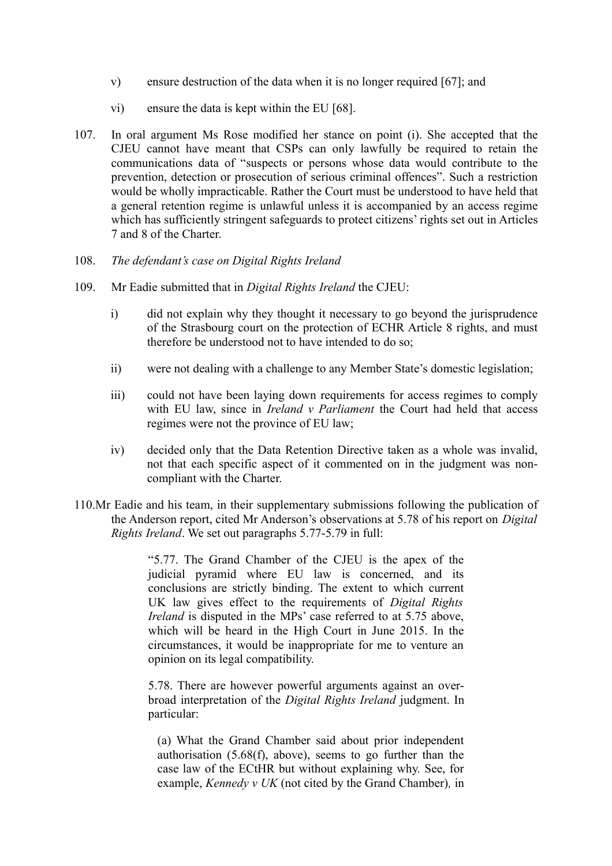- v) ensure destruction of the data when it is no longer required [67]; and
- vi) ensure the data is kept within the EU [68].
- 107. In oral argument Ms Rose modified her stance on point (i). She accepted that the CJEU cannot have meant that CSPs can only lawfully be required to retain the communications data of "suspects or persons whose data would contribute to the prevention, detection or prosecution of serious criminal offences". Such a restriction would be wholly impracticable. Rather the Court must be understood to have held that a general retention regime is unlawful unless it is accompanied by an access regime which has sufficiently stringent safeguards to protect citizens' rights set out in Articles 7 and 8 of the Charter.
- 108. *The defendant's case on Digital Rights Ireland*
- 109. Mr Eadie submitted that in *Digital Rights Ireland* the CJEU:
	- i) did not explain why they thought it necessary to go beyond the jurisprudence of the Strasbourg court on the protection of ECHR Article 8 rights, and must therefore be understood not to have intended to do so;
	- ii) were not dealing with a challenge to any Member State's domestic legislation;
	- iii) could not have been laying down requirements for access regimes to comply with EU law, since in *Ireland v Parliament* the Court had held that access regimes were not the province of EU law;
	- iv) decided only that the Data Retention Directive taken as a whole was invalid, not that each specific aspect of it commented on in the judgment was noncompliant with the Charter.
- 110.Mr Eadie and his team, in their supplementary submissions following the publication of the Anderson report, cited Mr Anderson's observations at 5.78 of his report on *Digital Rights Ireland*. We set out paragraphs 5.77-5.79 in full:

"5.77. The Grand Chamber of the CJEU is the apex of the judicial pyramid where EU law is concerned, and its conclusions are strictly binding. The extent to which current UK law gives effect to the requirements of *Digital Rights Ireland* is disputed in the MPs' case referred to at 5.75 above, which will be heard in the High Court in June 2015. In the circumstances, it would be inappropriate for me to venture an opinion on its legal compatibility.

5.78. There are however powerful arguments against an overbroad interpretation of the *Digital Rights Ireland* judgment. In particular:

(a) What the Grand Chamber said about prior independent authorisation (5.68(f), above), seems to go further than the case law of the ECtHR but without explaining why. See, for example, *Kennedy v UK* (not cited by the Grand Chamber)*,* in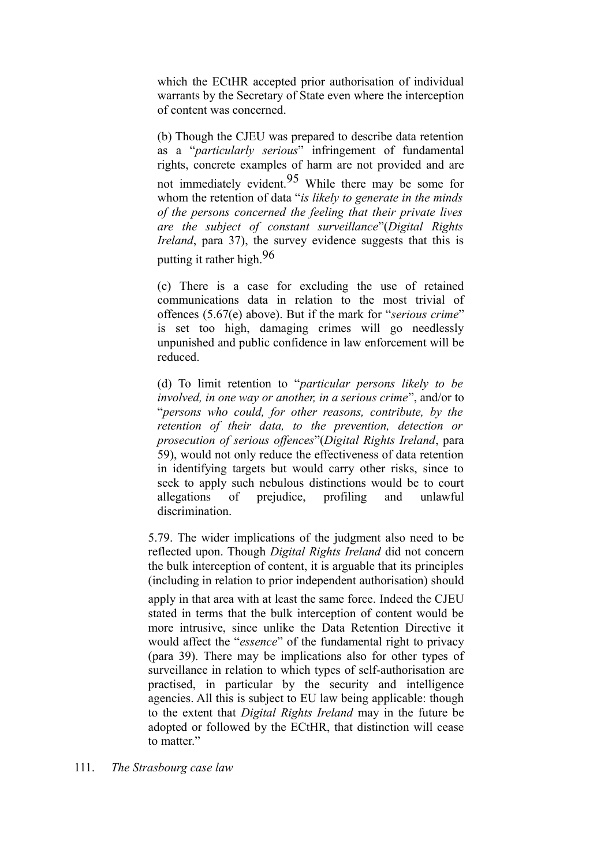which the ECtHR accepted prior authorisation of individual warrants by the Secretary of State even where the interception of content was concerned.

(b) Though the CJEU was prepared to describe data retention as a "*particularly serious*" infringement of fundamental rights, concrete examples of harm are not provided and are not immediately evident.95 While there may be some for whom the retention of data "*is likely to generate in the minds of the persons concerned the feeling that their private lives are the subject of constant surveillance*"(*Digital Rights Ireland*, para 37), the survey evidence suggests that this is putting it rather high.96

(c) There is a case for excluding the use of retained communications data in relation to the most trivial of offences (5.67(e) above). But if the mark for "*serious crime*" is set too high, damaging crimes will go needlessly unpunished and public confidence in law enforcement will be reduced.

(d) To limit retention to "*particular persons likely to be involved, in one way or another, in a serious crime*", and/or to "*persons who could, for other reasons, contribute, by the retention of their data, to the prevention, detection or prosecution of serious offences*"(*Digital Rights Ireland*, para 59), would not only reduce the effectiveness of data retention in identifying targets but would carry other risks, since to seek to apply such nebulous distinctions would be to court allegations of prejudice, profiling and unlawful discrimination.

5.79. The wider implications of the judgment also need to be reflected upon. Though *Digital Rights Ireland* did not concern the bulk interception of content, it is arguable that its principles (including in relation to prior independent authorisation) should

apply in that area with at least the same force. Indeed the CJEU stated in terms that the bulk interception of content would be more intrusive, since unlike the Data Retention Directive it would affect the "*essence*" of the fundamental right to privacy (para 39). There may be implications also for other types of surveillance in relation to which types of self-authorisation are practised, in particular by the security and intelligence agencies. All this is subject to EU law being applicable: though to the extent that *Digital Rights Ireland* may in the future be adopted or followed by the ECtHR, that distinction will cease to matter."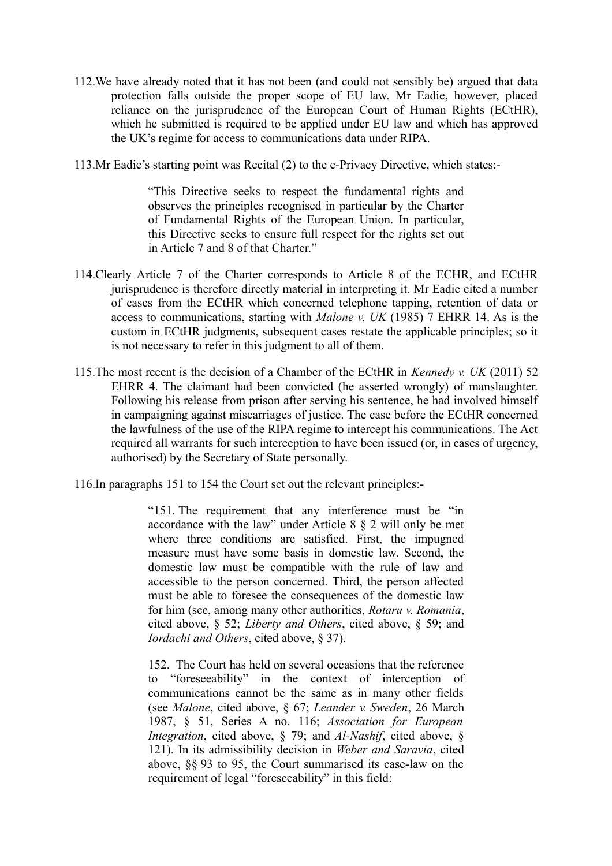- 112.We have already noted that it has not been (and could not sensibly be) argued that data protection falls outside the proper scope of EU law. Mr Eadie, however, placed reliance on the jurisprudence of the European Court of Human Rights (ECtHR), which he submitted is required to be applied under EU law and which has approved the UK's regime for access to communications data under RIPA.
- 113.Mr Eadie's starting point was Recital (2) to the e-Privacy Directive, which states:-

"This Directive seeks to respect the fundamental rights and observes the principles recognised in particular by the Charter of Fundamental Rights of the European Union. In particular, this Directive seeks to ensure full respect for the rights set out in Article 7 and 8 of that Charter."

- 114.Clearly Article 7 of the Charter corresponds to Article 8 of the ECHR, and ECtHR jurisprudence is therefore directly material in interpreting it. Mr Eadie cited a number of cases from the ECtHR which concerned telephone tapping, retention of data or access to communications, starting with *Malone v. UK* (1985) 7 EHRR 14. As is the custom in ECtHR judgments, subsequent cases restate the applicable principles; so it is not necessary to refer in this judgment to all of them.
- 115.The most recent is the decision of a Chamber of the ECtHR in *Kennedy v. UK* (2011) 52 EHRR 4. The claimant had been convicted (he asserted wrongly) of manslaughter. Following his release from prison after serving his sentence, he had involved himself in campaigning against miscarriages of justice. The case before the ECtHR concerned the lawfulness of the use of the RIPA regime to intercept his communications. The Act required all warrants for such interception to have been issued (or, in cases of urgency, authorised) by the Secretary of State personally.
- 116.In paragraphs 151 to 154 the Court set out the relevant principles:-

"151. The requirement that any interference must be "in accordance with the law" under Article 8 § 2 will only be met where three conditions are satisfied. First, the impugned measure must have some basis in domestic law. Second, the domestic law must be compatible with the rule of law and accessible to the person concerned. Third, the person affected must be able to foresee the consequences of the domestic law for him (see, among many other authorities, *Rotaru v. Romania*, cited above, § 52; *Liberty and Others*, cited above, § 59; and *Iordachi and Others*, cited above, § 37).

152. The Court has held on several occasions that the reference to "foreseeability" in the context of interception of communications cannot be the same as in many other fields (see *Malone*, cited above, § 67; *Leander v. Sweden*, 26 March 1987, § 51, Series A no. 116; *Association for European Integration*, cited above, § 79; and *Al-Nashif*, cited above, § 121). In its admissibility decision in *Weber and Saravia*, cited above, §§ 93 to 95, the Court summarised its case-law on the requirement of legal "foreseeability" in this field: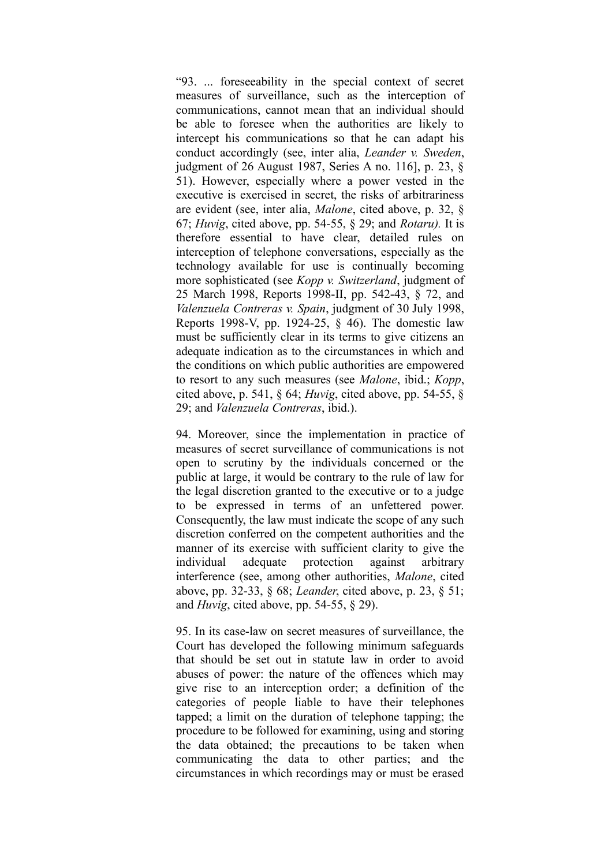"93. ... foreseeability in the special context of secret measures of surveillance, such as the interception of communications, cannot mean that an individual should be able to foresee when the authorities are likely to intercept his communications so that he can adapt his conduct accordingly (see, inter alia, *Leander v. Sweden*, judgment of 26 August 1987, Series A no. 116], p. 23, § 51). However, especially where a power vested in the executive is exercised in secret, the risks of arbitrariness are evident (see, inter alia, *Malone*, cited above, p. 32, § 67; *Huvig*, cited above, pp. 54-55, § 29; and *Rotaru).* It is therefore essential to have clear, detailed rules on interception of telephone conversations, especially as the technology available for use is continually becoming more sophisticated (see *Kopp v. Switzerland*, judgment of 25 March 1998, Reports 1998-II, pp. 542-43, § 72, and *Valenzuela Contreras v. Spain*, judgment of 30 July 1998, Reports 1998-V, pp. 1924-25, § 46). The domestic law must be sufficiently clear in its terms to give citizens an adequate indication as to the circumstances in which and the conditions on which public authorities are empowered to resort to any such measures (see *Malone*, ibid.; *Kopp*, cited above, p. 541, § 64; *Huvig*, cited above, pp. 54-55, § 29; and *Valenzuela Contreras*, ibid.).

94. Moreover, since the implementation in practice of measures of secret surveillance of communications is not open to scrutiny by the individuals concerned or the public at large, it would be contrary to the rule of law for the legal discretion granted to the executive or to a judge to be expressed in terms of an unfettered power. Consequently, the law must indicate the scope of any such discretion conferred on the competent authorities and the manner of its exercise with sufficient clarity to give the individual adequate protection against arbitrary interference (see, among other authorities, *Malone*, cited above, pp. 32-33, § 68; *Leander*, cited above, p. 23, § 51; and *Huvig*, cited above, pp. 54-55, § 29).

95. In its case-law on secret measures of surveillance, the Court has developed the following minimum safeguards that should be set out in statute law in order to avoid abuses of power: the nature of the offences which may give rise to an interception order; a definition of the categories of people liable to have their telephones tapped; a limit on the duration of telephone tapping; the procedure to be followed for examining, using and storing the data obtained; the precautions to be taken when communicating the data to other parties; and the circumstances in which recordings may or must be erased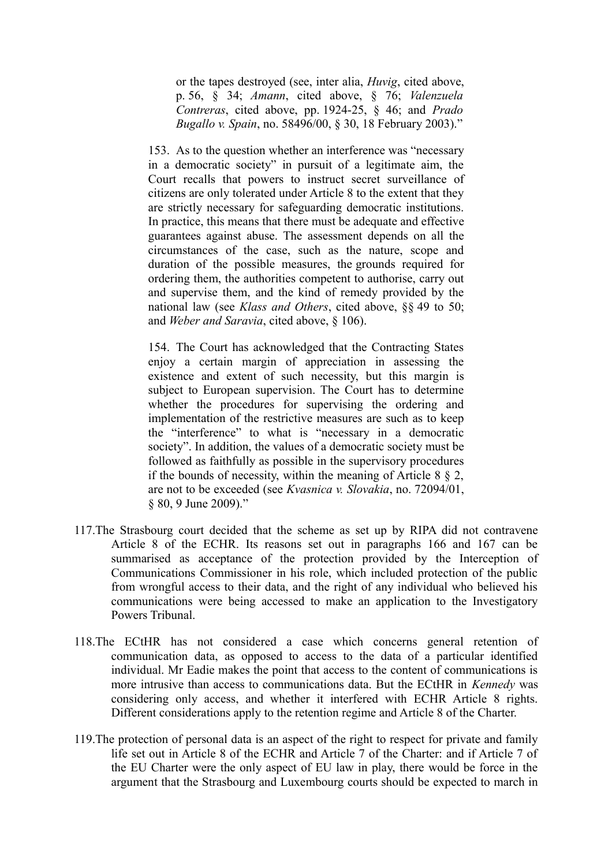or the tapes destroyed (see, inter alia, *Huvig*, cited above, p. 56, § 34; *Amann*, cited above, § 76; *Valenzuela Contreras*, cited above, pp. 1924-25, § 46; and *Prado Bugallo v. Spain*, no. 58496/00, § 30, 18 February 2003)."

153. As to the question whether an interference was "necessary in a democratic society" in pursuit of a legitimate aim, the Court recalls that powers to instruct secret surveillance of citizens are only tolerated under Article 8 to the extent that they are strictly necessary for safeguarding democratic institutions. In practice, this means that there must be adequate and effective guarantees against abuse. The assessment depends on all the circumstances of the case, such as the nature, scope and duration of the possible measures, the grounds required for ordering them, the authorities competent to authorise, carry out and supervise them, and the kind of remedy provided by the national law (see *Klass and Others*, cited above, §§ 49 to 50; and *Weber and Saravia*, cited above, § 106).

154. The Court has acknowledged that the Contracting States enjoy a certain margin of appreciation in assessing the existence and extent of such necessity, but this margin is subject to European supervision. The Court has to determine whether the procedures for supervising the ordering and implementation of the restrictive measures are such as to keep the "interference" to what is "necessary in a democratic society". In addition, the values of a democratic society must be followed as faithfully as possible in the supervisory procedures if the bounds of necessity, within the meaning of Article  $8 \& 2$ , are not to be exceeded (see *Kvasnica v. Slovakia*, no. 72094/01, § 80, 9 June 2009)."

- 117.The Strasbourg court decided that the scheme as set up by RIPA did not contravene Article 8 of the ECHR. Its reasons set out in paragraphs 166 and 167 can be summarised as acceptance of the protection provided by the Interception of Communications Commissioner in his role, which included protection of the public from wrongful access to their data, and the right of any individual who believed his communications were being accessed to make an application to the Investigatory Powers Tribunal.
- 118.The ECtHR has not considered a case which concerns general retention of communication data, as opposed to access to the data of a particular identified individual. Mr Eadie makes the point that access to the content of communications is more intrusive than access to communications data. But the ECtHR in *Kennedy* was considering only access, and whether it interfered with ECHR Article 8 rights. Different considerations apply to the retention regime and Article 8 of the Charter.
- 119.The protection of personal data is an aspect of the right to respect for private and family life set out in Article 8 of the ECHR and Article 7 of the Charter: and if Article 7 of the EU Charter were the only aspect of EU law in play, there would be force in the argument that the Strasbourg and Luxembourg courts should be expected to march in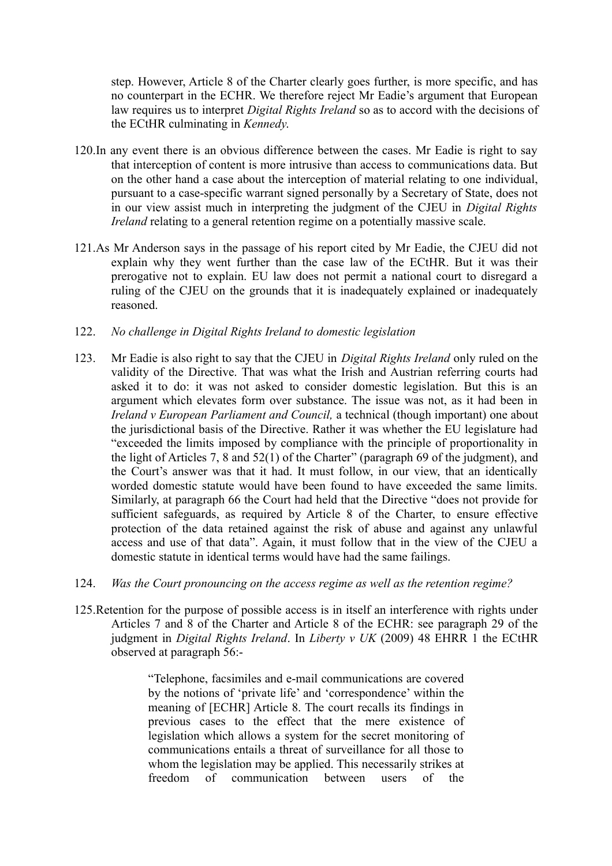step. However, Article 8 of the Charter clearly goes further, is more specific, and has no counterpart in the ECHR. We therefore reject Mr Eadie's argument that European law requires us to interpret *Digital Rights Ireland* so as to accord with the decisions of the ECtHR culminating in *Kennedy*.

- 120.In any event there is an obvious difference between the cases. Mr Eadie is right to say that interception of content is more intrusive than access to communications data. But on the other hand a case about the interception of material relating to one individual, pursuant to a case-specific warrant signed personally by a Secretary of State, does not in our view assist much in interpreting the judgment of the CJEU in *Digital Rights Ireland* relating to a general retention regime on a potentially massive scale.
- 121.As Mr Anderson says in the passage of his report cited by Mr Eadie, the CJEU did not explain why they went further than the case law of the ECtHR. But it was their prerogative not to explain. EU law does not permit a national court to disregard a ruling of the CJEU on the grounds that it is inadequately explained or inadequately reasoned.
- 122. *No challenge in Digital Rights Ireland to domestic legislation*
- 123. Mr Eadie is also right to say that the CJEU in *Digital Rights Ireland* only ruled on the validity of the Directive. That was what the Irish and Austrian referring courts had asked it to do: it was not asked to consider domestic legislation. But this is an argument which elevates form over substance. The issue was not, as it had been in *Ireland v European Parliament and Council,* a technical (though important) one about the jurisdictional basis of the Directive. Rather it was whether the EU legislature had "exceeded the limits imposed by compliance with the principle of proportionality in the light of Articles 7, 8 and 52(1) of the Charter" (paragraph 69 of the judgment), and the Court's answer was that it had. It must follow, in our view, that an identically worded domestic statute would have been found to have exceeded the same limits. Similarly, at paragraph 66 the Court had held that the Directive "does not provide for sufficient safeguards, as required by Article 8 of the Charter, to ensure effective protection of the data retained against the risk of abuse and against any unlawful access and use of that data". Again, it must follow that in the view of the CJEU a domestic statute in identical terms would have had the same failings.
- 124. *Was the Court pronouncing on the access regime as well as the retention regime?*
- 125.Retention for the purpose of possible access is in itself an interference with rights under Articles 7 and 8 of the Charter and Article 8 of the ECHR: see paragraph 29 of the judgment in *Digital Rights Ireland*. In *Liberty v UK* (2009) 48 EHRR 1 the ECtHR observed at paragraph 56:-

"Telephone, facsimiles and e-mail communications are covered by the notions of 'private life' and 'correspondence' within the meaning of [ECHR] Article 8. The court recalls its findings in previous cases to the effect that the mere existence of legislation which allows a system for the secret monitoring of communications entails a threat of surveillance for all those to whom the legislation may be applied. This necessarily strikes at freedom of communication between users of the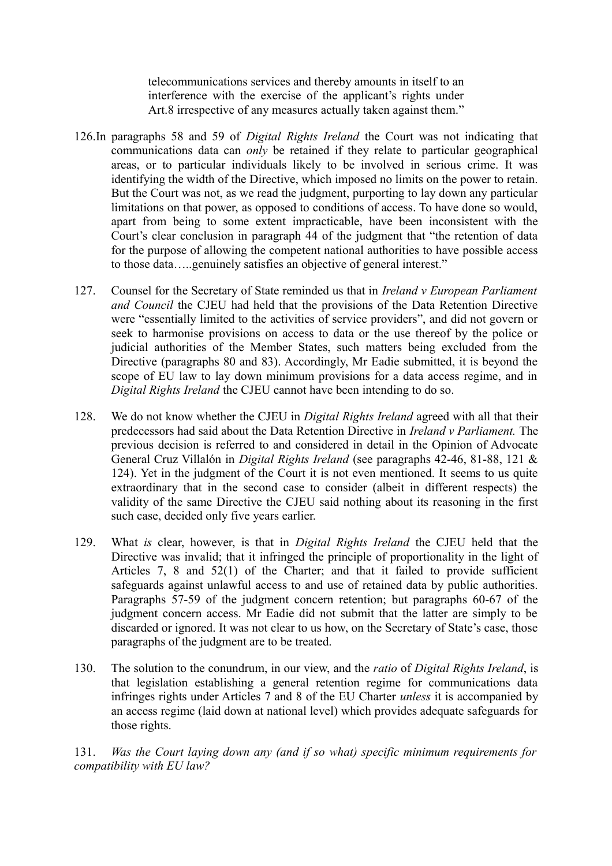telecommunications services and thereby amounts in itself to an interference with the exercise of the applicant's rights under Art.8 irrespective of any measures actually taken against them."

- 126.In paragraphs 58 and 59 of *Digital Rights Ireland* the Court was not indicating that communications data can *only* be retained if they relate to particular geographical areas, or to particular individuals likely to be involved in serious crime. It was identifying the width of the Directive, which imposed no limits on the power to retain. But the Court was not, as we read the judgment, purporting to lay down any particular limitations on that power, as opposed to conditions of access. To have done so would, apart from being to some extent impracticable, have been inconsistent with the Court's clear conclusion in paragraph 44 of the judgment that "the retention of data for the purpose of allowing the competent national authorities to have possible access to those data…..genuinely satisfies an objective of general interest."
- 127. Counsel for the Secretary of State reminded us that in *Ireland v European Parliament and Council* the CJEU had held that the provisions of the Data Retention Directive were "essentially limited to the activities of service providers", and did not govern or seek to harmonise provisions on access to data or the use thereof by the police or judicial authorities of the Member States, such matters being excluded from the Directive (paragraphs 80 and 83). Accordingly, Mr Eadie submitted, it is beyond the scope of EU law to lay down minimum provisions for a data access regime, and in *Digital Rights Ireland* the CJEU cannot have been intending to do so.
- 128. We do not know whether the CJEU in *Digital Rights Ireland* agreed with all that their predecessors had said about the Data Retention Directive in *Ireland v Parliament.* The previous decision is referred to and considered in detail in the Opinion of Advocate General Cruz Villalón in *Digital Rights Ireland* (see paragraphs 42-46, 81-88, 121 & 124). Yet in the judgment of the Court it is not even mentioned. It seems to us quite extraordinary that in the second case to consider (albeit in different respects) the validity of the same Directive the CJEU said nothing about its reasoning in the first such case, decided only five years earlier.
- 129. What *is* clear, however, is that in *Digital Rights Ireland* the CJEU held that the Directive was invalid; that it infringed the principle of proportionality in the light of Articles 7, 8 and 52(1) of the Charter; and that it failed to provide sufficient safeguards against unlawful access to and use of retained data by public authorities. Paragraphs 57-59 of the judgment concern retention; but paragraphs 60-67 of the judgment concern access. Mr Eadie did not submit that the latter are simply to be discarded or ignored. It was not clear to us how, on the Secretary of State's case, those paragraphs of the judgment are to be treated.
- 130. The solution to the conundrum, in our view, and the *ratio* of *Digital Rights Ireland*, is that legislation establishing a general retention regime for communications data infringes rights under Articles 7 and 8 of the EU Charter *unless* it is accompanied by an access regime (laid down at national level) which provides adequate safeguards for those rights.

131. *Was the Court laying down any (and if so what) specific minimum requirements for compatibility with EU law?*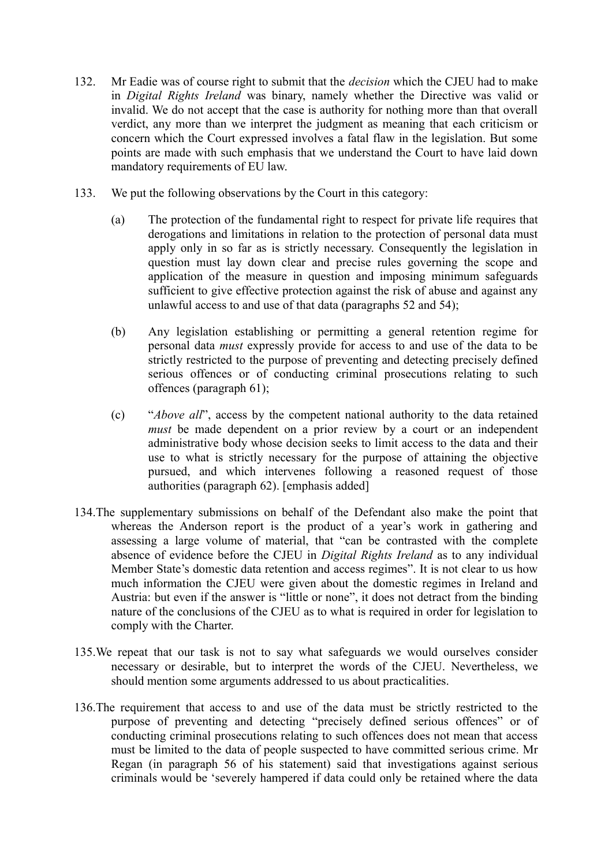- 132. Mr Eadie was of course right to submit that the *decision* which the CJEU had to make in *Digital Rights Ireland* was binary, namely whether the Directive was valid or invalid. We do not accept that the case is authority for nothing more than that overall verdict, any more than we interpret the judgment as meaning that each criticism or concern which the Court expressed involves a fatal flaw in the legislation. But some points are made with such emphasis that we understand the Court to have laid down mandatory requirements of EU law.
- 133. We put the following observations by the Court in this category:
	- (a) The protection of the fundamental right to respect for private life requires that derogations and limitations in relation to the protection of personal data must apply only in so far as is strictly necessary. Consequently the legislation in question must lay down clear and precise rules governing the scope and application of the measure in question and imposing minimum safeguards sufficient to give effective protection against the risk of abuse and against any unlawful access to and use of that data (paragraphs 52 and 54);
	- (b) Any legislation establishing or permitting a general retention regime for personal data *must* expressly provide for access to and use of the data to be strictly restricted to the purpose of preventing and detecting precisely defined serious offences or of conducting criminal prosecutions relating to such offences (paragraph 61);
	- (c) "*Above all*", access by the competent national authority to the data retained *must* be made dependent on a prior review by a court or an independent administrative body whose decision seeks to limit access to the data and their use to what is strictly necessary for the purpose of attaining the objective pursued, and which intervenes following a reasoned request of those authorities (paragraph 62). [emphasis added]
- 134.The supplementary submissions on behalf of the Defendant also make the point that whereas the Anderson report is the product of a year's work in gathering and assessing a large volume of material, that "can be contrasted with the complete absence of evidence before the CJEU in *Digital Rights Ireland* as to any individual Member State's domestic data retention and access regimes". It is not clear to us how much information the CJEU were given about the domestic regimes in Ireland and Austria: but even if the answer is "little or none", it does not detract from the binding nature of the conclusions of the CJEU as to what is required in order for legislation to comply with the Charter.
- 135.We repeat that our task is not to say what safeguards we would ourselves consider necessary or desirable, but to interpret the words of the CJEU. Nevertheless, we should mention some arguments addressed to us about practicalities.
- 136.The requirement that access to and use of the data must be strictly restricted to the purpose of preventing and detecting "precisely defined serious offences" or of conducting criminal prosecutions relating to such offences does not mean that access must be limited to the data of people suspected to have committed serious crime. Mr Regan (in paragraph 56 of his statement) said that investigations against serious criminals would be 'severely hampered if data could only be retained where the data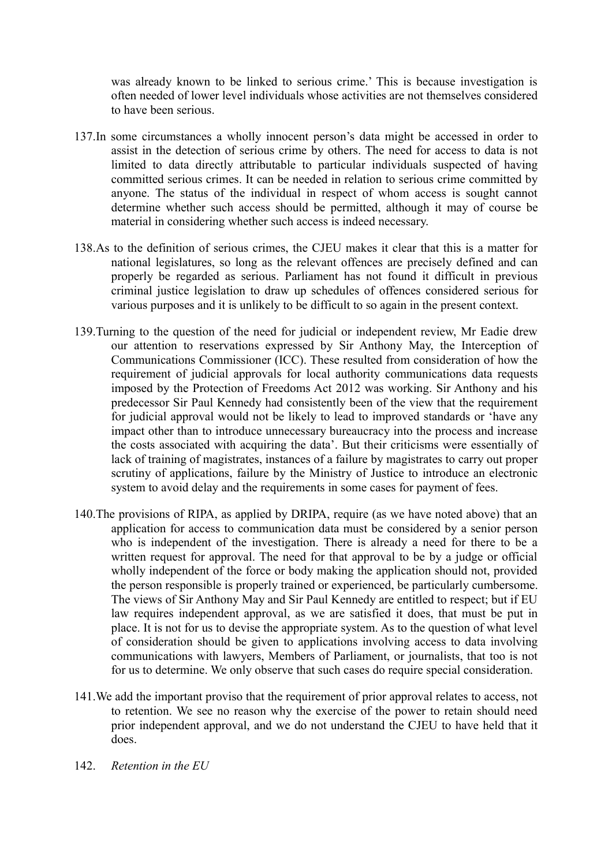was already known to be linked to serious crime.' This is because investigation is often needed of lower level individuals whose activities are not themselves considered to have been serious.

- 137.In some circumstances a wholly innocent person's data might be accessed in order to assist in the detection of serious crime by others. The need for access to data is not limited to data directly attributable to particular individuals suspected of having committed serious crimes. It can be needed in relation to serious crime committed by anyone. The status of the individual in respect of whom access is sought cannot determine whether such access should be permitted, although it may of course be material in considering whether such access is indeed necessary.
- 138.As to the definition of serious crimes, the CJEU makes it clear that this is a matter for national legislatures, so long as the relevant offences are precisely defined and can properly be regarded as serious. Parliament has not found it difficult in previous criminal justice legislation to draw up schedules of offences considered serious for various purposes and it is unlikely to be difficult to so again in the present context.
- 139.Turning to the question of the need for judicial or independent review, Mr Eadie drew our attention to reservations expressed by Sir Anthony May, the Interception of Communications Commissioner (ICC). These resulted from consideration of how the requirement of judicial approvals for local authority communications data requests imposed by the Protection of Freedoms Act 2012 was working. Sir Anthony and his predecessor Sir Paul Kennedy had consistently been of the view that the requirement for judicial approval would not be likely to lead to improved standards or 'have any impact other than to introduce unnecessary bureaucracy into the process and increase the costs associated with acquiring the data'. But their criticisms were essentially of lack of training of magistrates, instances of a failure by magistrates to carry out proper scrutiny of applications, failure by the Ministry of Justice to introduce an electronic system to avoid delay and the requirements in some cases for payment of fees.
- 140.The provisions of RIPA, as applied by DRIPA, require (as we have noted above) that an application for access to communication data must be considered by a senior person who is independent of the investigation. There is already a need for there to be a written request for approval. The need for that approval to be by a judge or official wholly independent of the force or body making the application should not, provided the person responsible is properly trained or experienced, be particularly cumbersome. The views of Sir Anthony May and Sir Paul Kennedy are entitled to respect; but if EU law requires independent approval, as we are satisfied it does, that must be put in place. It is not for us to devise the appropriate system. As to the question of what level of consideration should be given to applications involving access to data involving communications with lawyers, Members of Parliament, or journalists, that too is not for us to determine. We only observe that such cases do require special consideration.
- 141.We add the important proviso that the requirement of prior approval relates to access, not to retention. We see no reason why the exercise of the power to retain should need prior independent approval, and we do not understand the CJEU to have held that it does.
- 142. *Retention in the EU*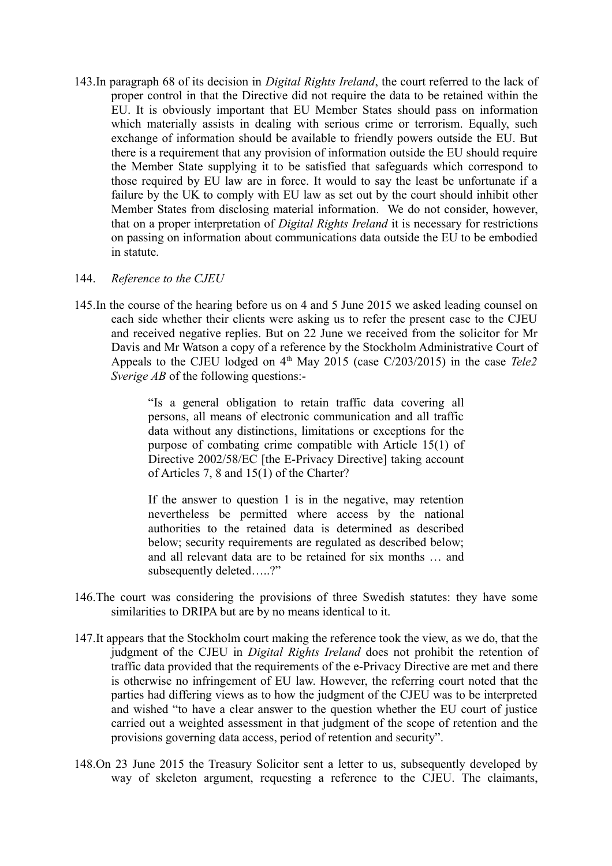143.In paragraph 68 of its decision in *Digital Rights Ireland*, the court referred to the lack of proper control in that the Directive did not require the data to be retained within the EU. It is obviously important that EU Member States should pass on information which materially assists in dealing with serious crime or terrorism. Equally, such exchange of information should be available to friendly powers outside the EU. But there is a requirement that any provision of information outside the EU should require the Member State supplying it to be satisfied that safeguards which correspond to those required by EU law are in force. It would to say the least be unfortunate if a failure by the UK to comply with EU law as set out by the court should inhibit other Member States from disclosing material information. We do not consider, however, that on a proper interpretation of *Digital Rights Ireland* it is necessary for restrictions on passing on information about communications data outside the EU to be embodied in statute.

#### 144. *Reference to the CJEU*

145.In the course of the hearing before us on 4 and 5 June 2015 we asked leading counsel on each side whether their clients were asking us to refer the present case to the CJEU and received negative replies. But on 22 June we received from the solicitor for Mr Davis and Mr Watson a copy of a reference by the Stockholm Administrative Court of Appeals to the CJEU lodged on  $4<sup>th</sup>$  May 2015 (case  $C/203/2015$ ) in the case *Tele2 Sverige AB* of the following questions:-

> "Is a general obligation to retain traffic data covering all persons, all means of electronic communication and all traffic data without any distinctions, limitations or exceptions for the purpose of combating crime compatible with Article 15(1) of Directive 2002/58/EC [the E-Privacy Directive] taking account of Articles 7, 8 and 15(1) of the Charter?

> If the answer to question 1 is in the negative, may retention nevertheless be permitted where access by the national authorities to the retained data is determined as described below; security requirements are regulated as described below; and all relevant data are to be retained for six months … and subsequently deleted....?"

- 146.The court was considering the provisions of three Swedish statutes: they have some similarities to DRIPA but are by no means identical to it.
- 147.It appears that the Stockholm court making the reference took the view, as we do, that the judgment of the CJEU in *Digital Rights Ireland* does not prohibit the retention of traffic data provided that the requirements of the e-Privacy Directive are met and there is otherwise no infringement of EU law. However, the referring court noted that the parties had differing views as to how the judgment of the CJEU was to be interpreted and wished "to have a clear answer to the question whether the EU court of justice carried out a weighted assessment in that judgment of the scope of retention and the provisions governing data access, period of retention and security".
- 148.On 23 June 2015 the Treasury Solicitor sent a letter to us, subsequently developed by way of skeleton argument, requesting a reference to the CJEU. The claimants,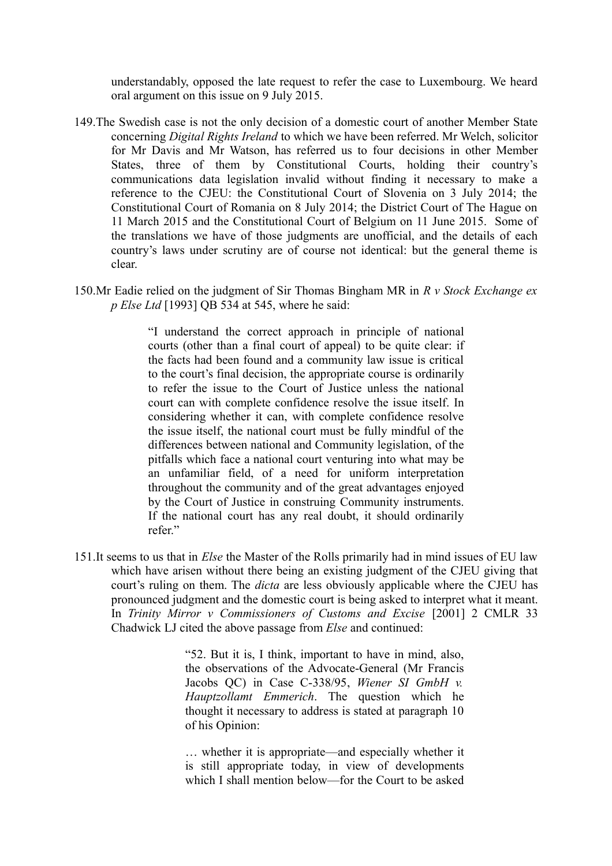understandably, opposed the late request to refer the case to Luxembourg. We heard oral argument on this issue on 9 July 2015.

- 149.The Swedish case is not the only decision of a domestic court of another Member State concerning *Digital Rights Ireland* to which we have been referred. Mr Welch, solicitor for Mr Davis and Mr Watson, has referred us to four decisions in other Member States, three of them by Constitutional Courts, holding their country's communications data legislation invalid without finding it necessary to make a reference to the CJEU: the Constitutional Court of Slovenia on 3 July 2014; the Constitutional Court of Romania on 8 July 2014; the District Court of The Hague on 11 March 2015 and the Constitutional Court of Belgium on 11 June 2015. Some of the translations we have of those judgments are unofficial, and the details of each country's laws under scrutiny are of course not identical: but the general theme is clear.
- 150.Mr Eadie relied on the judgment of Sir Thomas Bingham MR in *R v Stock Exchange ex p Else Ltd* [1993] QB 534 at 545, where he said:

"I understand the correct approach in principle of national courts (other than a final court of appeal) to be quite clear: if the facts had been found and a community law issue is critical to the court's final decision, the appropriate course is ordinarily to refer the issue to the Court of Justice unless the national court can with complete confidence resolve the issue itself. In considering whether it can, with complete confidence resolve the issue itself, the national court must be fully mindful of the differences between national and Community legislation, of the pitfalls which face a national court venturing into what may be an unfamiliar field, of a need for uniform interpretation throughout the community and of the great advantages enjoyed by the Court of Justice in construing Community instruments. If the national court has any real doubt, it should ordinarily refer."

151.It seems to us that in *Else* the Master of the Rolls primarily had in mind issues of EU law which have arisen without there being an existing judgment of the CJEU giving that court's ruling on them. The *dicta* are less obviously applicable where the CJEU has pronounced judgment and the domestic court is being asked to interpret what it meant. In *Trinity Mirror v Commissioners of Customs and Excise* [2001] 2 CMLR 33 Chadwick LJ cited the above passage from *Else* and continued:

> "52. But it is, I think, important to have in mind, also, the observations of the Advocate-General (Mr Francis Jacobs QC) in Case C-338/95, *Wiener SI GmbH v. Hauptzollamt Emmerich*. The question which he thought it necessary to address is stated at paragraph 10 of his Opinion:

> … whether it is appropriate—and especially whether it is still appropriate today, in view of developments which I shall mention below—for the Court to be asked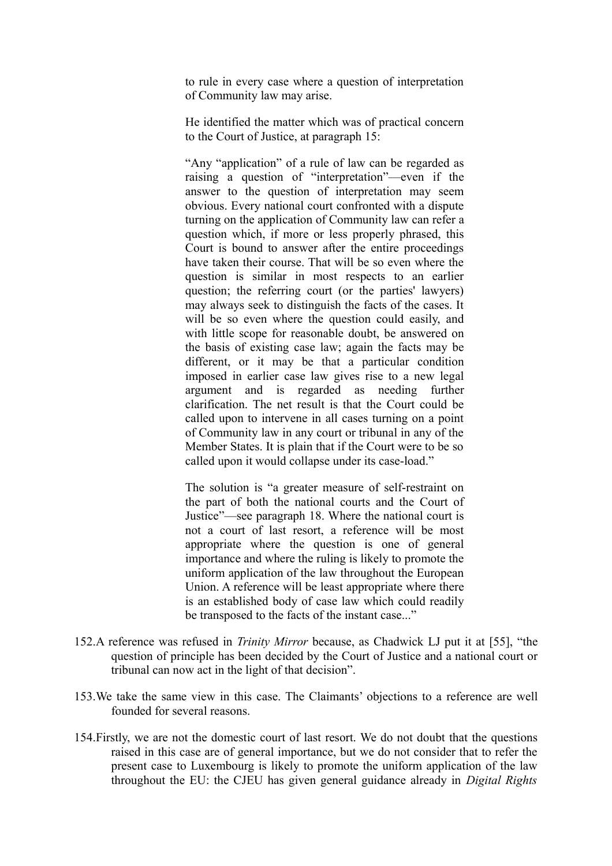to rule in every case where a question of interpretation of Community law may arise.

He identified the matter which was of practical concern to the Court of Justice, at paragraph 15:

"Any "application" of a rule of law can be regarded as raising a question of "interpretation"—even if the answer to the question of interpretation may seem obvious. Every national court confronted with a dispute turning on the application of Community law can refer a question which, if more or less properly phrased, this Court is bound to answer after the entire proceedings have taken their course. That will be so even where the question is similar in most respects to an earlier question; the referring court (or the parties' lawyers) may always seek to distinguish the facts of the cases. It will be so even where the question could easily, and with little scope for reasonable doubt, be answered on the basis of existing case law; again the facts may be different, or it may be that a particular condition imposed in earlier case law gives rise to a new legal argument and is regarded as needing further clarification. The net result is that the Court could be called upon to intervene in all cases turning on a point of Community law in any court or tribunal in any of the Member States. It is plain that if the Court were to be so called upon it would collapse under its case-load."

The solution is "a greater measure of self-restraint on the part of both the national courts and the Court of Justice"—see paragraph 18. Where the national court is not a court of last resort, a reference will be most appropriate where the question is one of general importance and where the ruling is likely to promote the uniform application of the law throughout the European Union. A reference will be least appropriate where there is an established body of case law which could readily be transposed to the facts of the instant case..."

- 152.A reference was refused in *Trinity Mirror* because, as Chadwick LJ put it at [55], "the question of principle has been decided by the Court of Justice and a national court or tribunal can now act in the light of that decision".
- 153.We take the same view in this case. The Claimants' objections to a reference are well founded for several reasons.
- 154.Firstly, we are not the domestic court of last resort. We do not doubt that the questions raised in this case are of general importance, but we do not consider that to refer the present case to Luxembourg is likely to promote the uniform application of the law throughout the EU: the CJEU has given general guidance already in *Digital Rights*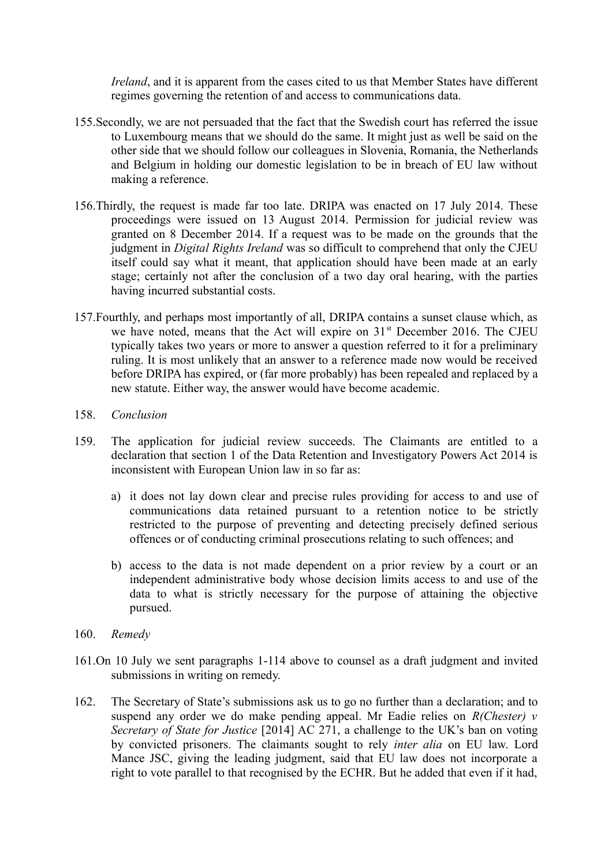*Ireland*, and it is apparent from the cases cited to us that Member States have different regimes governing the retention of and access to communications data.

- 155.Secondly, we are not persuaded that the fact that the Swedish court has referred the issue to Luxembourg means that we should do the same. It might just as well be said on the other side that we should follow our colleagues in Slovenia, Romania, the Netherlands and Belgium in holding our domestic legislation to be in breach of EU law without making a reference.
- 156.Thirdly, the request is made far too late. DRIPA was enacted on 17 July 2014. These proceedings were issued on 13 August 2014. Permission for judicial review was granted on 8 December 2014. If a request was to be made on the grounds that the judgment in *Digital Rights Ireland* was so difficult to comprehend that only the CJEU itself could say what it meant, that application should have been made at an early stage; certainly not after the conclusion of a two day oral hearing, with the parties having incurred substantial costs.
- 157.Fourthly, and perhaps most importantly of all, DRIPA contains a sunset clause which, as we have noted, means that the Act will expire on 31<sup>st</sup> December 2016. The CJEU typically takes two years or more to answer a question referred to it for a preliminary ruling. It is most unlikely that an answer to a reference made now would be received before DRIPA has expired, or (far more probably) has been repealed and replaced by a new statute. Either way, the answer would have become academic.
- 158. *Conclusion*
- 159. The application for judicial review succeeds. The Claimants are entitled to a declaration that section 1 of the Data Retention and Investigatory Powers Act 2014 is inconsistent with European Union law in so far as:
	- a) it does not lay down clear and precise rules providing for access to and use of communications data retained pursuant to a retention notice to be strictly restricted to the purpose of preventing and detecting precisely defined serious offences or of conducting criminal prosecutions relating to such offences; and
	- b) access to the data is not made dependent on a prior review by a court or an independent administrative body whose decision limits access to and use of the data to what is strictly necessary for the purpose of attaining the objective pursued.
- 160. *Remedy*
- 161.On 10 July we sent paragraphs 1-114 above to counsel as a draft judgment and invited submissions in writing on remedy.
- 162. The Secretary of State's submissions ask us to go no further than a declaration; and to suspend any order we do make pending appeal. Mr Eadie relies on *R(Chester) v Secretary of State for Justice* [2014] AC 271, a challenge to the UK's ban on voting by convicted prisoners. The claimants sought to rely *inter alia* on EU law. Lord Mance JSC, giving the leading judgment, said that EU law does not incorporate a right to vote parallel to that recognised by the ECHR. But he added that even if it had,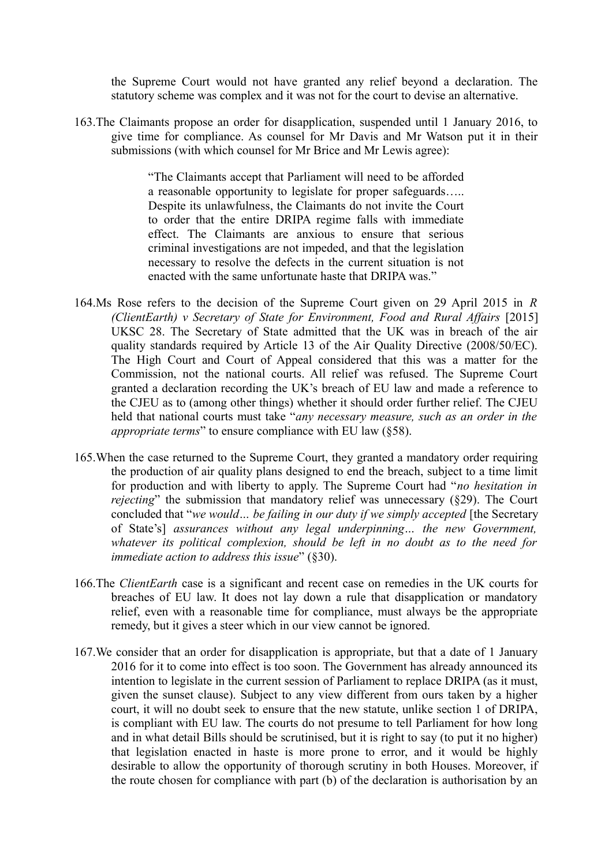the Supreme Court would not have granted any relief beyond a declaration. The statutory scheme was complex and it was not for the court to devise an alternative.

163.The Claimants propose an order for disapplication, suspended until 1 January 2016, to give time for compliance. As counsel for Mr Davis and Mr Watson put it in their submissions (with which counsel for Mr Brice and Mr Lewis agree):

> "The Claimants accept that Parliament will need to be afforded a reasonable opportunity to legislate for proper safeguards….. Despite its unlawfulness, the Claimants do not invite the Court to order that the entire DRIPA regime falls with immediate effect. The Claimants are anxious to ensure that serious criminal investigations are not impeded, and that the legislation necessary to resolve the defects in the current situation is not enacted with the same unfortunate haste that DRIPA was."

- 164.Ms Rose refers to the decision of the Supreme Court given on 29 April 2015 in *R (ClientEarth) v Secretary of State for Environment, Food and Rural Affairs* [2015] UKSC 28. The Secretary of State admitted that the UK was in breach of the air quality standards required by Article 13 of the Air Quality Directive (2008/50/EC). The High Court and Court of Appeal considered that this was a matter for the Commission, not the national courts. All relief was refused. The Supreme Court granted a declaration recording the UK's breach of EU law and made a reference to the CJEU as to (among other things) whether it should order further relief. The CJEU held that national courts must take "*any necessary measure, such as an order in the appropriate terms*" to ensure compliance with EU law (§58).
- 165.When the case returned to the Supreme Court, they granted a mandatory order requiring the production of air quality plans designed to end the breach, subject to a time limit for production and with liberty to apply. The Supreme Court had "*no hesitation in rejecting*" the submission that mandatory relief was unnecessary (§29). The Court concluded that "*we would… be failing in our duty if we simply accepted* [the Secretary of State's] *assurances without any legal underpinning… the new Government, whatever its political complexion, should be left in no doubt as to the need for immediate action to address this issue*" (§30).
- 166.The *ClientEarth* case is a significant and recent case on remedies in the UK courts for breaches of EU law. It does not lay down a rule that disapplication or mandatory relief, even with a reasonable time for compliance, must always be the appropriate remedy, but it gives a steer which in our view cannot be ignored.
- 167.We consider that an order for disapplication is appropriate, but that a date of 1 January 2016 for it to come into effect is too soon. The Government has already announced its intention to legislate in the current session of Parliament to replace DRIPA (as it must, given the sunset clause). Subject to any view different from ours taken by a higher court, it will no doubt seek to ensure that the new statute, unlike section 1 of DRIPA, is compliant with EU law. The courts do not presume to tell Parliament for how long and in what detail Bills should be scrutinised, but it is right to say (to put it no higher) that legislation enacted in haste is more prone to error, and it would be highly desirable to allow the opportunity of thorough scrutiny in both Houses. Moreover, if the route chosen for compliance with part (b) of the declaration is authorisation by an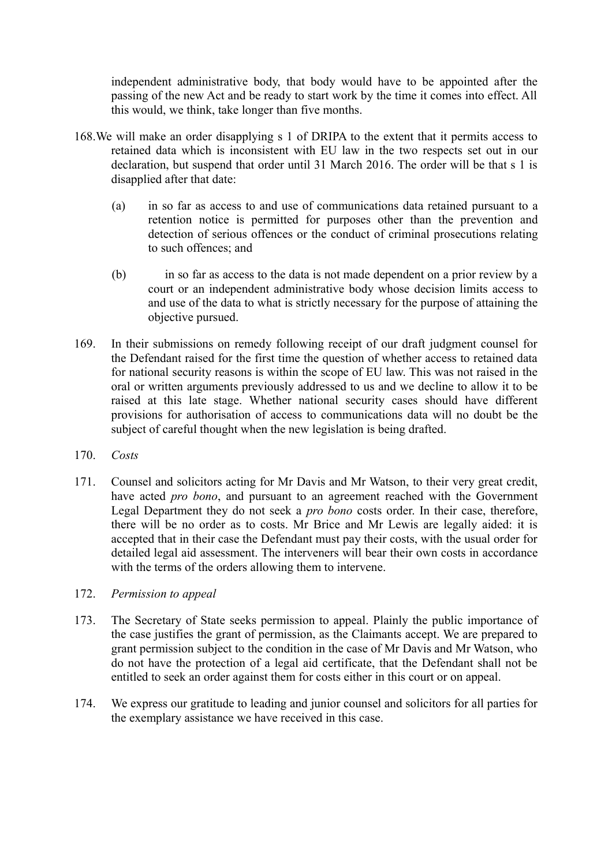independent administrative body, that body would have to be appointed after the passing of the new Act and be ready to start work by the time it comes into effect. All this would, we think, take longer than five months.

- 168.We will make an order disapplying s 1 of DRIPA to the extent that it permits access to retained data which is inconsistent with EU law in the two respects set out in our declaration, but suspend that order until 31 March 2016. The order will be that s 1 is disapplied after that date:
	- (a) in so far as access to and use of communications data retained pursuant to a retention notice is permitted for purposes other than the prevention and detection of serious offences or the conduct of criminal prosecutions relating to such offences; and
	- (b) in so far as access to the data is not made dependent on a prior review by a court or an independent administrative body whose decision limits access to and use of the data to what is strictly necessary for the purpose of attaining the objective pursued.
- 169. In their submissions on remedy following receipt of our draft judgment counsel for the Defendant raised for the first time the question of whether access to retained data for national security reasons is within the scope of EU law. This was not raised in the oral or written arguments previously addressed to us and we decline to allow it to be raised at this late stage. Whether national security cases should have different provisions for authorisation of access to communications data will no doubt be the subject of careful thought when the new legislation is being drafted.
- 170. *Costs*
- 171. Counsel and solicitors acting for Mr Davis and Mr Watson, to their very great credit, have acted *pro bono*, and pursuant to an agreement reached with the Government Legal Department they do not seek a *pro bono* costs order. In their case, therefore, there will be no order as to costs. Mr Brice and Mr Lewis are legally aided: it is accepted that in their case the Defendant must pay their costs, with the usual order for detailed legal aid assessment. The interveners will bear their own costs in accordance with the terms of the orders allowing them to intervene.
- 172. *Permission to appeal*
- 173. The Secretary of State seeks permission to appeal. Plainly the public importance of the case justifies the grant of permission, as the Claimants accept. We are prepared to grant permission subject to the condition in the case of Mr Davis and Mr Watson, who do not have the protection of a legal aid certificate, that the Defendant shall not be entitled to seek an order against them for costs either in this court or on appeal.
- 174. We express our gratitude to leading and junior counsel and solicitors for all parties for the exemplary assistance we have received in this case.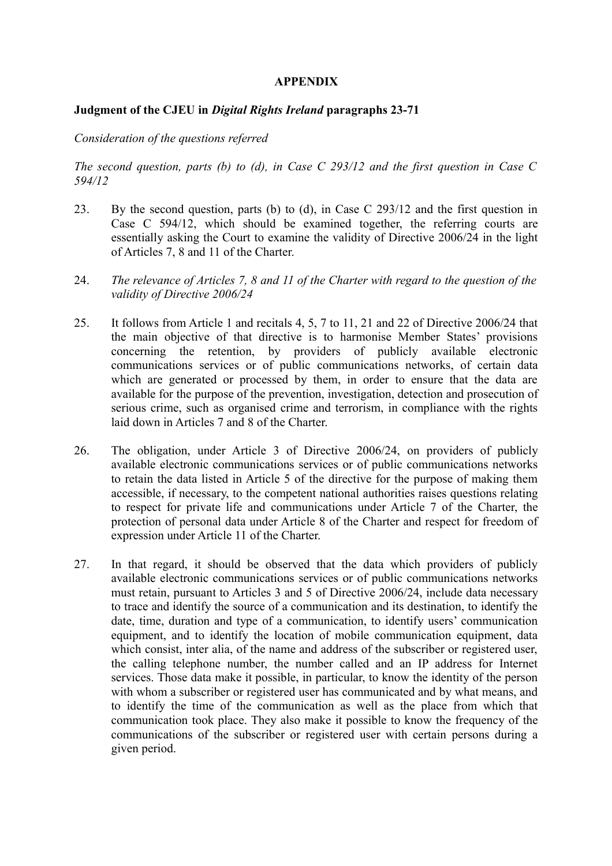#### **APPENDIX**

#### **Judgment of the CJEU in** *Digital Rights Ireland* **paragraphs 23-71**

#### *Consideration of the questions referred*

### *The second question, parts (b) to (d), in Case C 293/12 and the first question in Case C 594/12*

- 23. By the second question, parts (b) to (d), in Case C 293/12 and the first question in Case C 594/12, which should be examined together, the referring courts are essentially asking the Court to examine the validity of Directive 2006/24 in the light of Articles 7, 8 and 11 of the Charter.
- 24. *The relevance of Articles 7, 8 and 11 of the Charter with regard to the question of the validity of Directive 2006/24*
- 25. It follows from Article 1 and recitals 4, 5, 7 to 11, 21 and 22 of Directive 2006/24 that the main objective of that directive is to harmonise Member States' provisions concerning the retention, by providers of publicly available electronic communications services or of public communications networks, of certain data which are generated or processed by them, in order to ensure that the data are available for the purpose of the prevention, investigation, detection and prosecution of serious crime, such as organised crime and terrorism, in compliance with the rights laid down in Articles 7 and 8 of the Charter.
- 26. The obligation, under Article 3 of Directive 2006/24, on providers of publicly available electronic communications services or of public communications networks to retain the data listed in Article 5 of the directive for the purpose of making them accessible, if necessary, to the competent national authorities raises questions relating to respect for private life and communications under Article 7 of the Charter, the protection of personal data under Article 8 of the Charter and respect for freedom of expression under Article 11 of the Charter.
- 27. In that regard, it should be observed that the data which providers of publicly available electronic communications services or of public communications networks must retain, pursuant to Articles 3 and 5 of Directive 2006/24, include data necessary to trace and identify the source of a communication and its destination, to identify the date, time, duration and type of a communication, to identify users' communication equipment, and to identify the location of mobile communication equipment, data which consist, inter alia, of the name and address of the subscriber or registered user, the calling telephone number, the number called and an IP address for Internet services. Those data make it possible, in particular, to know the identity of the person with whom a subscriber or registered user has communicated and by what means, and to identify the time of the communication as well as the place from which that communication took place. They also make it possible to know the frequency of the communications of the subscriber or registered user with certain persons during a given period.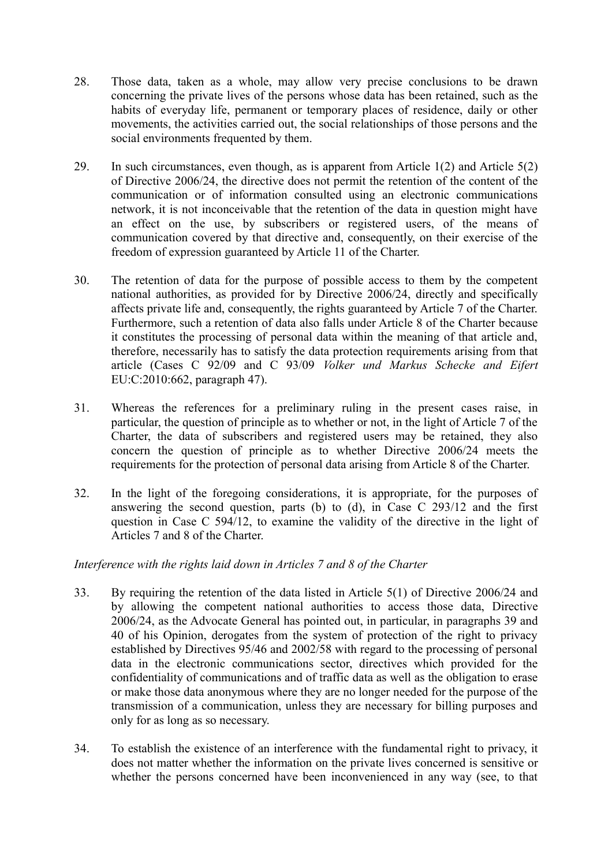- 28. Those data, taken as a whole, may allow very precise conclusions to be drawn concerning the private lives of the persons whose data has been retained, such as the habits of everyday life, permanent or temporary places of residence, daily or other movements, the activities carried out, the social relationships of those persons and the social environments frequented by them.
- 29. In such circumstances, even though, as is apparent from Article 1(2) and Article 5(2) of Directive 2006/24, the directive does not permit the retention of the content of the communication or of information consulted using an electronic communications network, it is not inconceivable that the retention of the data in question might have an effect on the use, by subscribers or registered users, of the means of communication covered by that directive and, consequently, on their exercise of the freedom of expression guaranteed by Article 11 of the Charter.
- 30. The retention of data for the purpose of possible access to them by the competent national authorities, as provided for by Directive 2006/24, directly and specifically affects private life and, consequently, the rights guaranteed by Article 7 of the Charter. Furthermore, such a retention of data also falls under Article 8 of the Charter because it constitutes the processing of personal data within the meaning of that article and, therefore, necessarily has to satisfy the data protection requirements arising from that article (Cases C 92/09 and C 93/09 *Volker und Markus Schecke and Eifert* EU:C:2010:662, paragraph 47).
- 31. Whereas the references for a preliminary ruling in the present cases raise, in particular, the question of principle as to whether or not, in the light of Article 7 of the Charter, the data of subscribers and registered users may be retained, they also concern the question of principle as to whether Directive 2006/24 meets the requirements for the protection of personal data arising from Article 8 of the Charter.
- 32. In the light of the foregoing considerations, it is appropriate, for the purposes of answering the second question, parts (b) to (d), in Case C 293/12 and the first question in Case C 594/12, to examine the validity of the directive in the light of Articles 7 and 8 of the Charter.

### *Interference with the rights laid down in Articles 7 and 8 of the Charter*

- 33. By requiring the retention of the data listed in Article 5(1) of Directive 2006/24 and by allowing the competent national authorities to access those data, Directive 2006/24, as the Advocate General has pointed out, in particular, in paragraphs 39 and 40 of his Opinion, derogates from the system of protection of the right to privacy established by Directives 95/46 and 2002/58 with regard to the processing of personal data in the electronic communications sector, directives which provided for the confidentiality of communications and of traffic data as well as the obligation to erase or make those data anonymous where they are no longer needed for the purpose of the transmission of a communication, unless they are necessary for billing purposes and only for as long as so necessary.
- 34. To establish the existence of an interference with the fundamental right to privacy, it does not matter whether the information on the private lives concerned is sensitive or whether the persons concerned have been inconvenienced in any way (see, to that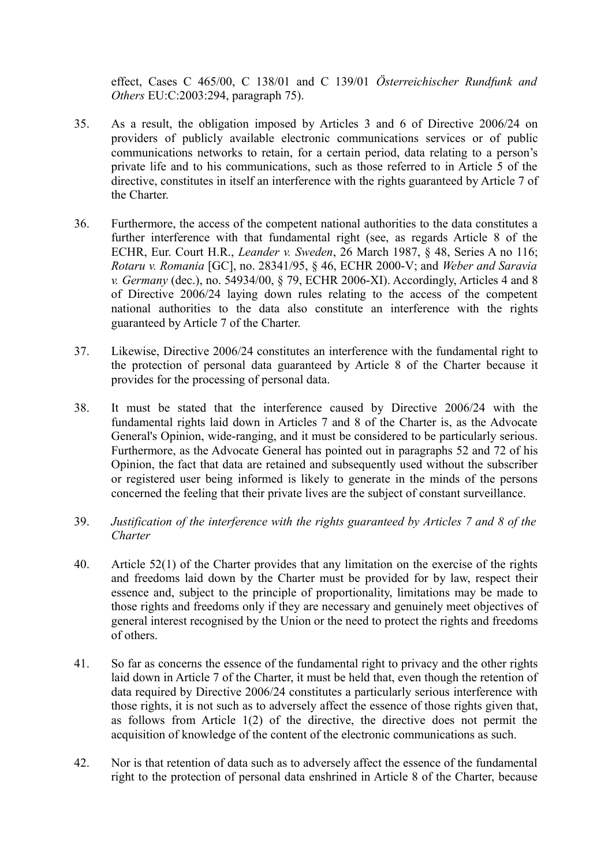effect, Cases C 465/00, C 138/01 and C 139/01 *Österreichischer Rundfunk and Others* EU:C:2003:294, paragraph 75).

- 35. As a result, the obligation imposed by Articles 3 and 6 of Directive 2006/24 on providers of publicly available electronic communications services or of public communications networks to retain, for a certain period, data relating to a person's private life and to his communications, such as those referred to in Article 5 of the directive, constitutes in itself an interference with the rights guaranteed by Article 7 of the Charter.
- 36. Furthermore, the access of the competent national authorities to the data constitutes a further interference with that fundamental right (see, as regards Article 8 of the ECHR, Eur. Court H.R., *Leander v. Sweden*, 26 March 1987, § 48, Series A no 116; *Rotaru v. Romania* [GC], no. 28341/95, § 46, ECHR 2000-V; and *Weber and Saravia v. Germany* (dec.), no. 54934/00, § 79, ECHR 2006-XI). Accordingly, Articles 4 and 8 of Directive 2006/24 laying down rules relating to the access of the competent national authorities to the data also constitute an interference with the rights guaranteed by Article 7 of the Charter.
- 37. Likewise, Directive 2006/24 constitutes an interference with the fundamental right to the protection of personal data guaranteed by Article 8 of the Charter because it provides for the processing of personal data.
- 38. It must be stated that the interference caused by Directive 2006/24 with the fundamental rights laid down in Articles 7 and 8 of the Charter is, as the Advocate General's Opinion, wide-ranging, and it must be considered to be particularly serious. Furthermore, as the Advocate General has pointed out in paragraphs 52 and 72 of his Opinion, the fact that data are retained and subsequently used without the subscriber or registered user being informed is likely to generate in the minds of the persons concerned the feeling that their private lives are the subject of constant surveillance.
- 39. *Justification of the interference with the rights guaranteed by Articles 7 and 8 of the Charter*
- 40. Article 52(1) of the Charter provides that any limitation on the exercise of the rights and freedoms laid down by the Charter must be provided for by law, respect their essence and, subject to the principle of proportionality, limitations may be made to those rights and freedoms only if they are necessary and genuinely meet objectives of general interest recognised by the Union or the need to protect the rights and freedoms of others.
- 41. So far as concerns the essence of the fundamental right to privacy and the other rights laid down in Article 7 of the Charter, it must be held that, even though the retention of data required by Directive 2006/24 constitutes a particularly serious interference with those rights, it is not such as to adversely affect the essence of those rights given that, as follows from Article 1(2) of the directive, the directive does not permit the acquisition of knowledge of the content of the electronic communications as such.
- 42. Nor is that retention of data such as to adversely affect the essence of the fundamental right to the protection of personal data enshrined in Article 8 of the Charter, because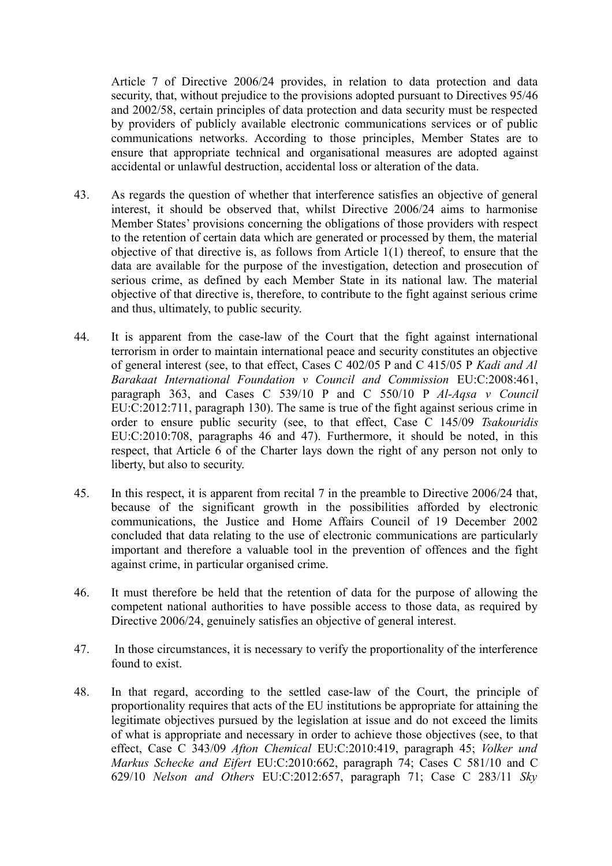Article 7 of Directive 2006/24 provides, in relation to data protection and data security, that, without prejudice to the provisions adopted pursuant to Directives  $95/46$ and 2002/58, certain principles of data protection and data security must be respected by providers of publicly available electronic communications services or of public communications networks. According to those principles, Member States are to ensure that appropriate technical and organisational measures are adopted against accidental or unlawful destruction, accidental loss or alteration of the data.

- 43. As regards the question of whether that interference satisfies an objective of general interest, it should be observed that, whilst Directive 2006/24 aims to harmonise Member States' provisions concerning the obligations of those providers with respect to the retention of certain data which are generated or processed by them, the material objective of that directive is, as follows from Article 1(1) thereof, to ensure that the data are available for the purpose of the investigation, detection and prosecution of serious crime, as defined by each Member State in its national law. The material objective of that directive is, therefore, to contribute to the fight against serious crime and thus, ultimately, to public security.
- 44. It is apparent from the case-law of the Court that the fight against international terrorism in order to maintain international peace and security constitutes an objective of general interest (see, to that effect, Cases C 402/05 P and C 415/05 P *Kadi and Al Barakaat International Foundation v Council and Commission* EU:C:2008:461, paragraph 363, and Cases C 539/10 P and C 550/10 P *Al-Aqsa v Council* EU:C:2012:711, paragraph 130). The same is true of the fight against serious crime in order to ensure public security (see, to that effect, Case C 145/09 *Tsakouridis* EU:C:2010:708, paragraphs 46 and 47). Furthermore, it should be noted, in this respect, that Article 6 of the Charter lays down the right of any person not only to liberty, but also to security.
- 45. In this respect, it is apparent from recital 7 in the preamble to Directive 2006/24 that, because of the significant growth in the possibilities afforded by electronic communications, the Justice and Home Affairs Council of 19 December 2002 concluded that data relating to the use of electronic communications are particularly important and therefore a valuable tool in the prevention of offences and the fight against crime, in particular organised crime.
- 46. It must therefore be held that the retention of data for the purpose of allowing the competent national authorities to have possible access to those data, as required by Directive 2006/24, genuinely satisfies an objective of general interest.
- 47. In those circumstances, it is necessary to verify the proportionality of the interference found to exist.
- 48. In that regard, according to the settled case-law of the Court, the principle of proportionality requires that acts of the EU institutions be appropriate for attaining the legitimate objectives pursued by the legislation at issue and do not exceed the limits of what is appropriate and necessary in order to achieve those objectives (see, to that effect, Case C 343/09 *Afton Chemical* EU:C:2010:419, paragraph 45; *Volker und Markus Schecke and Eifert* EU:C:2010:662, paragraph 74; Cases C 581/10 and C 629/10 *Nelson and Others* EU:C:2012:657, paragraph 71; Case C 283/11 *Sky*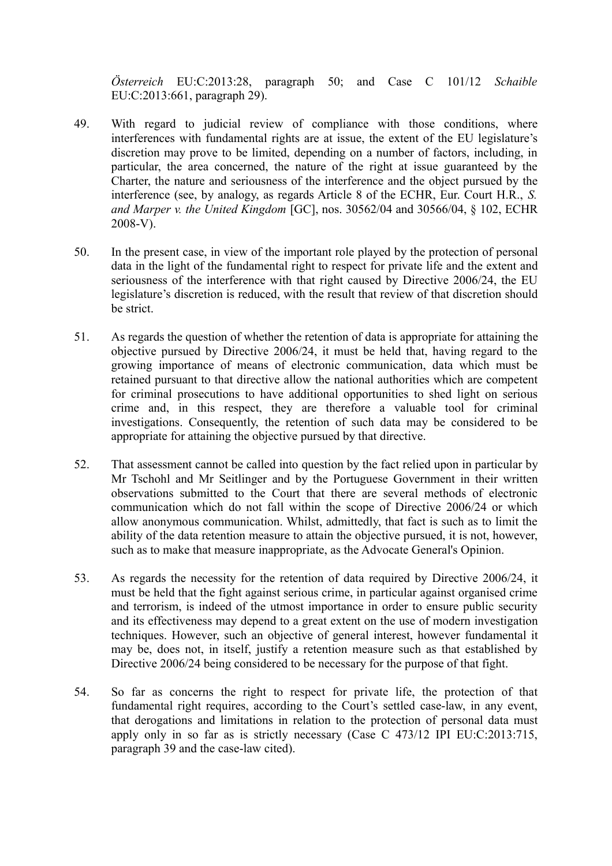*Österreich* EU:C:2013:28, paragraph 50; and Case C 101/12 *Schaible* EU:C:2013:661, paragraph 29).

- 49. With regard to judicial review of compliance with those conditions, where interferences with fundamental rights are at issue, the extent of the EU legislature's discretion may prove to be limited, depending on a number of factors, including, in particular, the area concerned, the nature of the right at issue guaranteed by the Charter, the nature and seriousness of the interference and the object pursued by the interference (see, by analogy, as regards Article 8 of the ECHR, Eur. Court H.R., *S. and Marper v. the United Kingdom* [GC], nos. 30562/04 and 30566/04, § 102, ECHR 2008-V).
- 50. In the present case, in view of the important role played by the protection of personal data in the light of the fundamental right to respect for private life and the extent and seriousness of the interference with that right caused by Directive 2006/24, the EU legislature's discretion is reduced, with the result that review of that discretion should be strict.
- 51. As regards the question of whether the retention of data is appropriate for attaining the objective pursued by Directive 2006/24, it must be held that, having regard to the growing importance of means of electronic communication, data which must be retained pursuant to that directive allow the national authorities which are competent for criminal prosecutions to have additional opportunities to shed light on serious crime and, in this respect, they are therefore a valuable tool for criminal investigations. Consequently, the retention of such data may be considered to be appropriate for attaining the objective pursued by that directive.
- 52. That assessment cannot be called into question by the fact relied upon in particular by Mr Tschohl and Mr Seitlinger and by the Portuguese Government in their written observations submitted to the Court that there are several methods of electronic communication which do not fall within the scope of Directive 2006/24 or which allow anonymous communication. Whilst, admittedly, that fact is such as to limit the ability of the data retention measure to attain the objective pursued, it is not, however, such as to make that measure inappropriate, as the Advocate General's Opinion.
- 53. As regards the necessity for the retention of data required by Directive 2006/24, it must be held that the fight against serious crime, in particular against organised crime and terrorism, is indeed of the utmost importance in order to ensure public security and its effectiveness may depend to a great extent on the use of modern investigation techniques. However, such an objective of general interest, however fundamental it may be, does not, in itself, justify a retention measure such as that established by Directive 2006/24 being considered to be necessary for the purpose of that fight.
- 54. So far as concerns the right to respect for private life, the protection of that fundamental right requires, according to the Court's settled case-law, in any event, that derogations and limitations in relation to the protection of personal data must apply only in so far as is strictly necessary (Case C 473/12 IPI EU:C:2013:715, paragraph 39 and the case-law cited).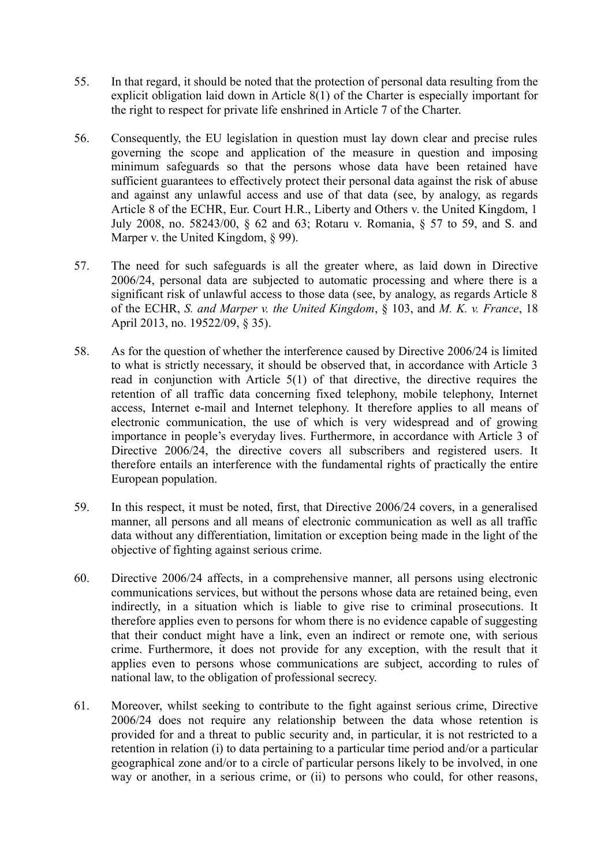- 55. In that regard, it should be noted that the protection of personal data resulting from the explicit obligation laid down in Article 8(1) of the Charter is especially important for the right to respect for private life enshrined in Article 7 of the Charter.
- 56. Consequently, the EU legislation in question must lay down clear and precise rules governing the scope and application of the measure in question and imposing minimum safeguards so that the persons whose data have been retained have sufficient guarantees to effectively protect their personal data against the risk of abuse and against any unlawful access and use of that data (see, by analogy, as regards Article 8 of the ECHR, Eur. Court H.R., Liberty and Others v. the United Kingdom, 1 July 2008, no. 58243/00, § 62 and 63; Rotaru v. Romania, § 57 to 59, and S. and Marper v. the United Kingdom, § 99).
- 57. The need for such safeguards is all the greater where, as laid down in Directive 2006/24, personal data are subjected to automatic processing and where there is a significant risk of unlawful access to those data (see, by analogy, as regards Article 8 of the ECHR, *S. and Marper v. the United Kingdom*, § 103, and *M. K. v. France*, 18 April 2013, no. 19522/09, § 35).
- 58. As for the question of whether the interference caused by Directive 2006/24 is limited to what is strictly necessary, it should be observed that, in accordance with Article 3 read in conjunction with Article 5(1) of that directive, the directive requires the retention of all traffic data concerning fixed telephony, mobile telephony, Internet access, Internet e-mail and Internet telephony. It therefore applies to all means of electronic communication, the use of which is very widespread and of growing importance in people's everyday lives. Furthermore, in accordance with Article 3 of Directive 2006/24, the directive covers all subscribers and registered users. It therefore entails an interference with the fundamental rights of practically the entire European population.
- 59. In this respect, it must be noted, first, that Directive 2006/24 covers, in a generalised manner, all persons and all means of electronic communication as well as all traffic data without any differentiation, limitation or exception being made in the light of the objective of fighting against serious crime.
- 60. Directive 2006/24 affects, in a comprehensive manner, all persons using electronic communications services, but without the persons whose data are retained being, even indirectly, in a situation which is liable to give rise to criminal prosecutions. It therefore applies even to persons for whom there is no evidence capable of suggesting that their conduct might have a link, even an indirect or remote one, with serious crime. Furthermore, it does not provide for any exception, with the result that it applies even to persons whose communications are subject, according to rules of national law, to the obligation of professional secrecy.
- 61. Moreover, whilst seeking to contribute to the fight against serious crime, Directive 2006/24 does not require any relationship between the data whose retention is provided for and a threat to public security and, in particular, it is not restricted to a retention in relation (i) to data pertaining to a particular time period and/or a particular geographical zone and/or to a circle of particular persons likely to be involved, in one way or another, in a serious crime, or (ii) to persons who could, for other reasons,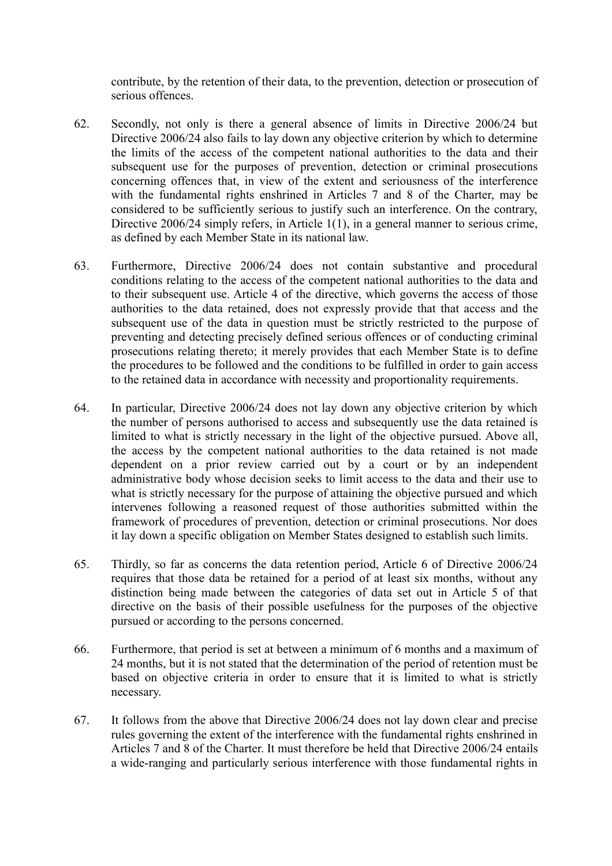contribute, by the retention of their data, to the prevention, detection or prosecution of serious offences.

- 62. Secondly, not only is there a general absence of limits in Directive 2006/24 but Directive 2006/24 also fails to lay down any objective criterion by which to determine the limits of the access of the competent national authorities to the data and their subsequent use for the purposes of prevention, detection or criminal prosecutions concerning offences that, in view of the extent and seriousness of the interference with the fundamental rights enshrined in Articles 7 and 8 of the Charter, may be considered to be sufficiently serious to justify such an interference. On the contrary, Directive 2006/24 simply refers, in Article 1(1), in a general manner to serious crime, as defined by each Member State in its national law.
- 63. Furthermore, Directive 2006/24 does not contain substantive and procedural conditions relating to the access of the competent national authorities to the data and to their subsequent use. Article 4 of the directive, which governs the access of those authorities to the data retained, does not expressly provide that that access and the subsequent use of the data in question must be strictly restricted to the purpose of preventing and detecting precisely defined serious offences or of conducting criminal prosecutions relating thereto; it merely provides that each Member State is to define the procedures to be followed and the conditions to be fulfilled in order to gain access to the retained data in accordance with necessity and proportionality requirements.
- 64. In particular, Directive 2006/24 does not lay down any objective criterion by which the number of persons authorised to access and subsequently use the data retained is limited to what is strictly necessary in the light of the objective pursued. Above all, the access by the competent national authorities to the data retained is not made dependent on a prior review carried out by a court or by an independent administrative body whose decision seeks to limit access to the data and their use to what is strictly necessary for the purpose of attaining the objective pursued and which intervenes following a reasoned request of those authorities submitted within the framework of procedures of prevention, detection or criminal prosecutions. Nor does it lay down a specific obligation on Member States designed to establish such limits.
- 65. Thirdly, so far as concerns the data retention period, Article 6 of Directive 2006/24 requires that those data be retained for a period of at least six months, without any distinction being made between the categories of data set out in Article 5 of that directive on the basis of their possible usefulness for the purposes of the objective pursued or according to the persons concerned.
- 66. Furthermore, that period is set at between a minimum of 6 months and a maximum of 24 months, but it is not stated that the determination of the period of retention must be based on objective criteria in order to ensure that it is limited to what is strictly necessary.
- 67. It follows from the above that Directive 2006/24 does not lay down clear and precise rules governing the extent of the interference with the fundamental rights enshrined in Articles 7 and 8 of the Charter. It must therefore be held that Directive 2006/24 entails a wide-ranging and particularly serious interference with those fundamental rights in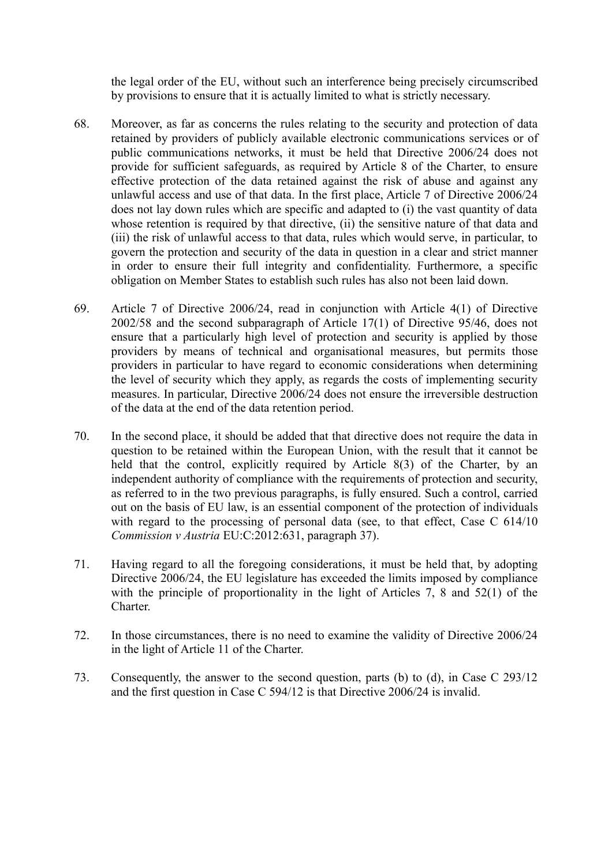the legal order of the EU, without such an interference being precisely circumscribed by provisions to ensure that it is actually limited to what is strictly necessary.

- 68. Moreover, as far as concerns the rules relating to the security and protection of data retained by providers of publicly available electronic communications services or of public communications networks, it must be held that Directive 2006/24 does not provide for sufficient safeguards, as required by Article 8 of the Charter, to ensure effective protection of the data retained against the risk of abuse and against any unlawful access and use of that data. In the first place, Article 7 of Directive 2006/24 does not lay down rules which are specific and adapted to (i) the vast quantity of data whose retention is required by that directive, (ii) the sensitive nature of that data and (iii) the risk of unlawful access to that data, rules which would serve, in particular, to govern the protection and security of the data in question in a clear and strict manner in order to ensure their full integrity and confidentiality. Furthermore, a specific obligation on Member States to establish such rules has also not been laid down.
- 69. Article 7 of Directive 2006/24, read in conjunction with Article 4(1) of Directive 2002/58 and the second subparagraph of Article 17(1) of Directive 95/46, does not ensure that a particularly high level of protection and security is applied by those providers by means of technical and organisational measures, but permits those providers in particular to have regard to economic considerations when determining the level of security which they apply, as regards the costs of implementing security measures. In particular, Directive 2006/24 does not ensure the irreversible destruction of the data at the end of the data retention period.
- 70. In the second place, it should be added that that directive does not require the data in question to be retained within the European Union, with the result that it cannot be held that the control, explicitly required by Article 8(3) of the Charter, by an independent authority of compliance with the requirements of protection and security, as referred to in the two previous paragraphs, is fully ensured. Such a control, carried out on the basis of EU law, is an essential component of the protection of individuals with regard to the processing of personal data (see, to that effect, Case C 614/10) *Commission v Austria* EU:C:2012:631, paragraph 37).
- 71. Having regard to all the foregoing considerations, it must be held that, by adopting Directive 2006/24, the EU legislature has exceeded the limits imposed by compliance with the principle of proportionality in the light of Articles 7, 8 and 52(1) of the Charter.
- 72. In those circumstances, there is no need to examine the validity of Directive 2006/24 in the light of Article 11 of the Charter.
- 73. Consequently, the answer to the second question, parts (b) to (d), in Case C 293/12 and the first question in Case C 594/12 is that Directive 2006/24 is invalid.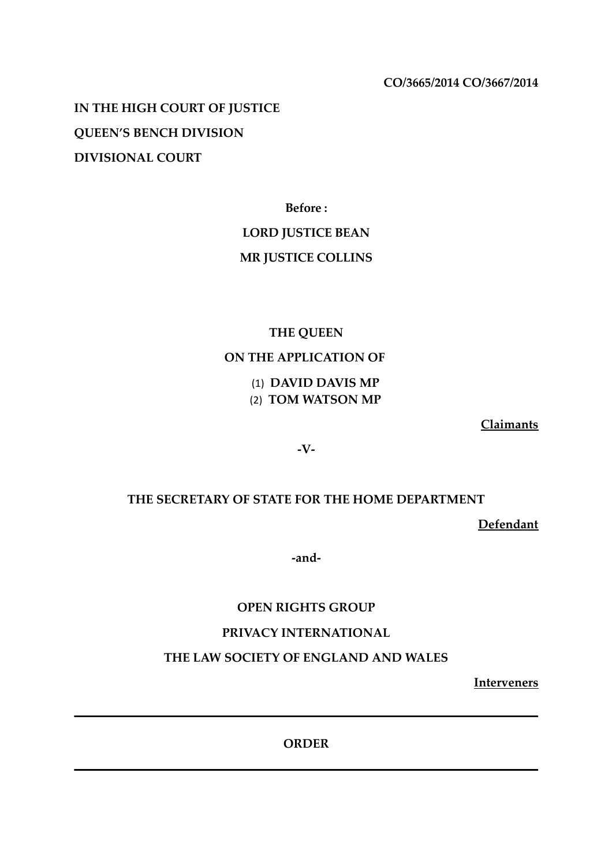**CO/3665/2014 CO/3667/2014**

**IN THE HIGH COURT OF JUSTICE QUEEN'S BENCH DIVISION DIVISIONAL COURT**

**Before :**

## **LORD JUSTICE BEAN**

# **MR JUSTICE COLLINS**

# **THE QUEEN**

# **ON THE APPLICATION OF**

(1) **DAVID DAVIS MP** (2) **TOM WATSON MP**

**Claimants**

**-V-**

## **THE SECRETARY OF STATE FOR THE HOME DEPARTMENT**

**Defendant**

**-and-**

## **OPEN RIGHTS GROUP**

## **PRIVACY INTERNATIONAL**

## **THE LAW SOCIETY OF ENGLAND AND WALES**

**Interveners**

**ORDER**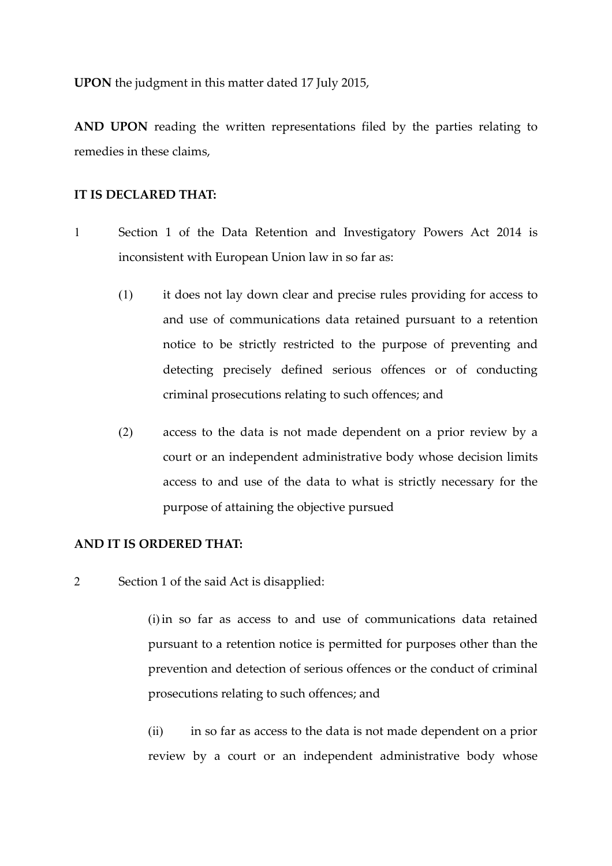**UPON** the judgment in this matter dated 17 July 2015,

**AND UPON** reading the written representations filed by the parties relating to remedies in these claims,

### **IT IS DECLARED THAT:**

- 1 Section 1 of the Data Retention and Investigatory Powers Act 2014 is inconsistent with European Union law in so far as:
	- (1) it does not lay down clear and precise rules providing for access to and use of communications data retained pursuant to a retention notice to be strictly restricted to the purpose of preventing and detecting precisely defined serious offences or of conducting criminal prosecutions relating to such offences; and
	- (2) access to the data is not made dependent on a prior review by a court or an independent administrative body whose decision limits access to and use of the data to what is strictly necessary for the purpose of attaining the objective pursued

### **AND IT IS ORDERED THAT:**

2 Section 1 of the said Act is disapplied:

(i)in so far as access to and use of communications data retained pursuant to a retention notice is permitted for purposes other than the prevention and detection of serious offences or the conduct of criminal prosecutions relating to such offences; and

(ii) in so far as access to the data is not made dependent on a prior review by a court or an independent administrative body whose